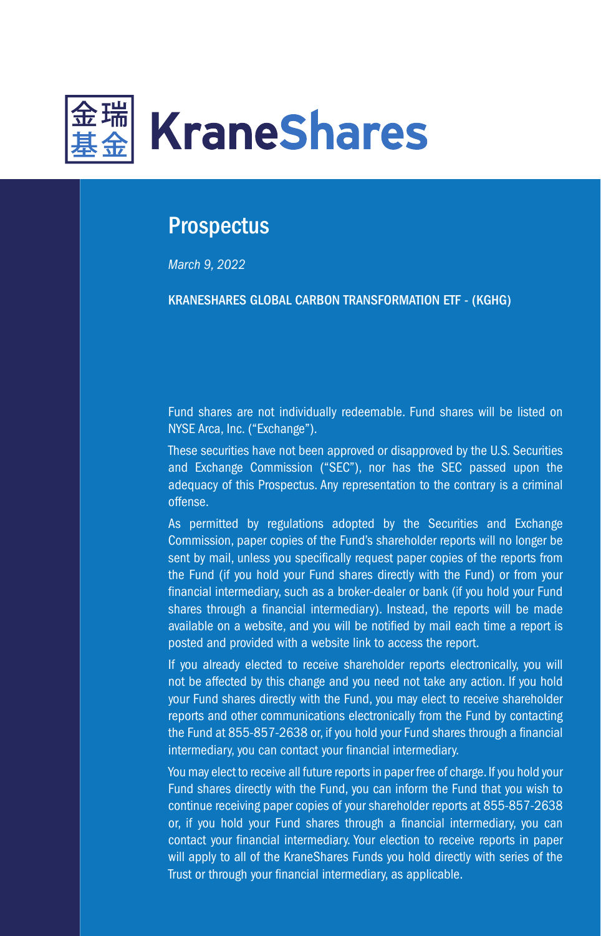

# **Prospectus**

*March 9, 2022*

KRANESHARES GLOBAL CARBON TRANSFORMATION ETF - (KGHG)

Fund shares are not individually redeemable. Fund shares will be listed on NYSE Arca, Inc. ("Exchange").

These securities have not been approved or disapproved by the U.S. Securities and Exchange Commission ("SEC"), nor has the SEC passed upon the adequacy of this Prospectus. Any representation to the contrary is a criminal offense.

As permitted by regulations adopted by the Securities and Exchange Commission, paper copies of the Fund's shareholder reports will no longer be sent by mail, unless you specifically request paper copies of the reports from the Fund (if you hold your Fund shares directly with the Fund) or from your financial intermediary, such as a broker-dealer or bank (if you hold your Fund shares through a financial intermediary). Instead, the reports will be made available on a website, and you will be notified by mail each time a report is posted and provided with a website link to access the report.

If you already elected to receive shareholder reports electronically, you will not be affected by this change and you need not take any action. If you hold your Fund shares directly with the Fund, you may elect to receive shareholder reports and other communications electronically from the Fund by contacting the Fund at 855-857-2638 or, if you hold your Fund shares through a financial intermediary, you can contact your financial intermediary.

You may elect to receive all future reports in paper free of charge. If you hold your Fund shares directly with the Fund, you can inform the Fund that you wish to continue receiving paper copies of your shareholder reports at 855-857-2638 or, if you hold your Fund shares through a financial intermediary, you can contact your financial intermediary. Your election to receive reports in paper will apply to all of the KraneShares Funds you hold directly with series of the Trust or through your financial intermediary, as applicable.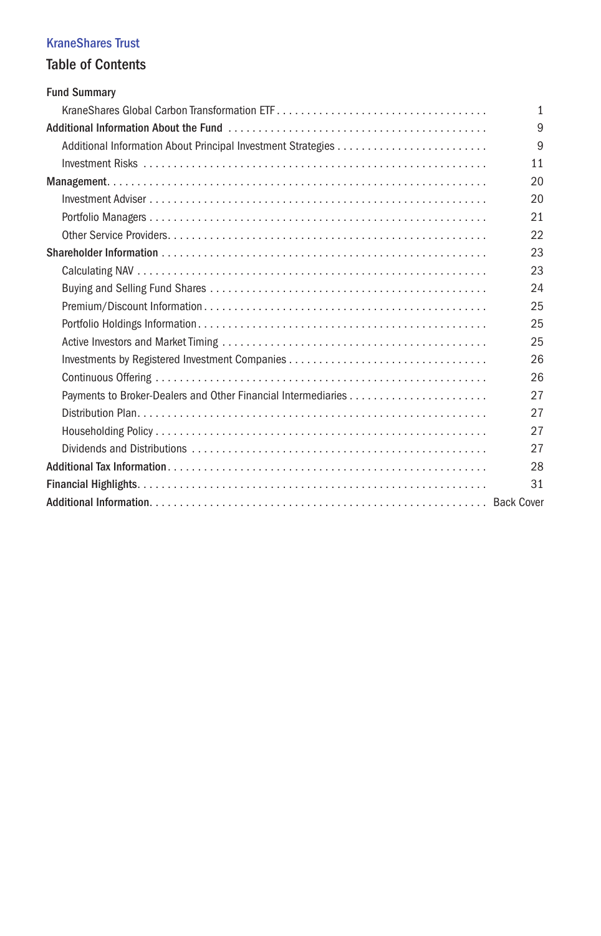# KraneShares Trust

# Table of Contents

| <b>Fund Summary</b> |              |
|---------------------|--------------|
|                     | $\mathbf{1}$ |
|                     | 9            |
|                     | 9            |
|                     | 11           |
|                     | 20           |
|                     | 20           |
|                     | 21           |
|                     | 22           |
|                     | 23           |
|                     | 23           |
|                     | 24           |
|                     | 25           |
|                     | 25           |
|                     | 25           |
|                     | 26           |
|                     | 26           |
|                     | 27           |
|                     | 27           |
|                     | 27           |
|                     | 27           |
|                     | 28           |
|                     | 31           |
|                     |              |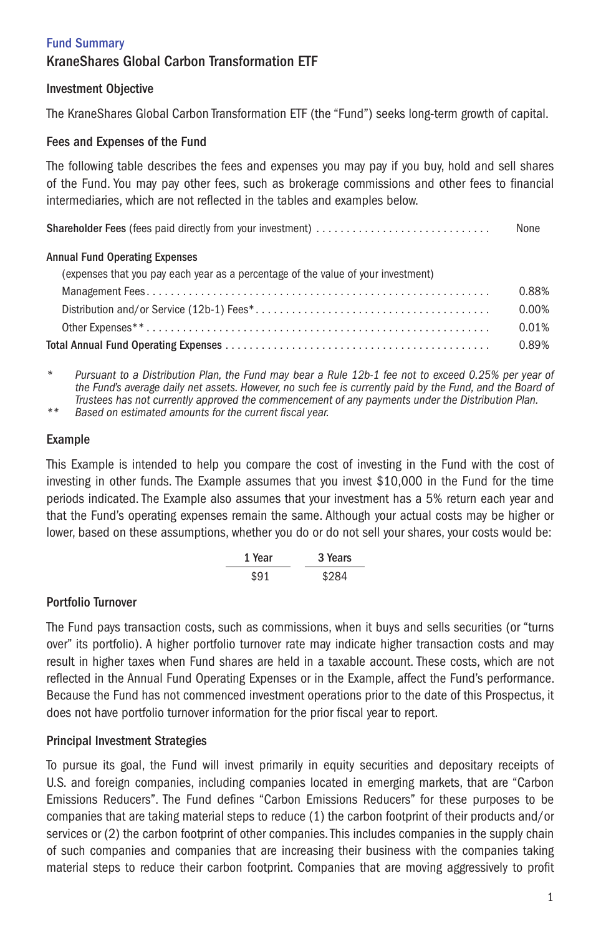# Fund Summary KraneShares Global Carbon Transformation ETF

# Investment Objective

The KraneShares Global Carbon Transformation ETF (the "Fund") seeks long-term growth of capital.

# Fees and Expenses of the Fund

The following table describes the fees and expenses you may pay if you buy, hold and sell shares of the Fund. You may pay other fees, such as brokerage commissions and other fees to financial intermediaries, which are not reflected in the tables and examples below.

|                                                                                   | None  |
|-----------------------------------------------------------------------------------|-------|
| <b>Annual Fund Operating Expenses</b>                                             |       |
| (expenses that you pay each year as a percentage of the value of your investment) |       |
|                                                                                   | 0.88% |
|                                                                                   | 0.00% |
|                                                                                   | 0.01% |
|                                                                                   | 0.89% |

*\* Pursuant to a Distribution Plan, the Fund may bear a Rule 12b-1 fee not to exceed 0.25% per year of the Fund's average daily net assets. However, no such fee is currently paid by the Fund, and the Board of Trustees has not currently approved the commencement of any payments under the Distribution Plan.*

*\*\* Based on estimated amounts for the current fiscal year.*

#### Example

This Example is intended to help you compare the cost of investing in the Fund with the cost of investing in other funds. The Example assumes that you invest \$10,000 in the Fund for the time periods indicated. The Example also assumes that your investment has a 5% return each year and that the Fund's operating expenses remain the same. Although your actual costs may be higher or lower, based on these assumptions, whether you do or do not sell your shares, your costs would be:

1 Year 3 Years \$91 \$284

# Portfolio Turnover

The Fund pays transaction costs, such as commissions, when it buys and sells securities (or "turns over" its portfolio). A higher portfolio turnover rate may indicate higher transaction costs and may result in higher taxes when Fund shares are held in a taxable account. These costs, which are not reflected in the Annual Fund Operating Expenses or in the Example, affect the Fund's performance. Because the Fund has not commenced investment operations prior to the date of this Prospectus, it does not have portfolio turnover information for the prior fiscal year to report.

# Principal Investment Strategies

To pursue its goal, the Fund will invest primarily in equity securities and depositary receipts of U.S. and foreign companies, including companies located in emerging markets, that are "Carbon Emissions Reducers". The Fund defines "Carbon Emissions Reducers" for these purposes to be companies that are taking material steps to reduce (1) the carbon footprint of their products and/or services or (2) the carbon footprint of other companies. This includes companies in the supply chain of such companies and companies that are increasing their business with the companies taking material steps to reduce their carbon footprint. Companies that are moving aggressively to profit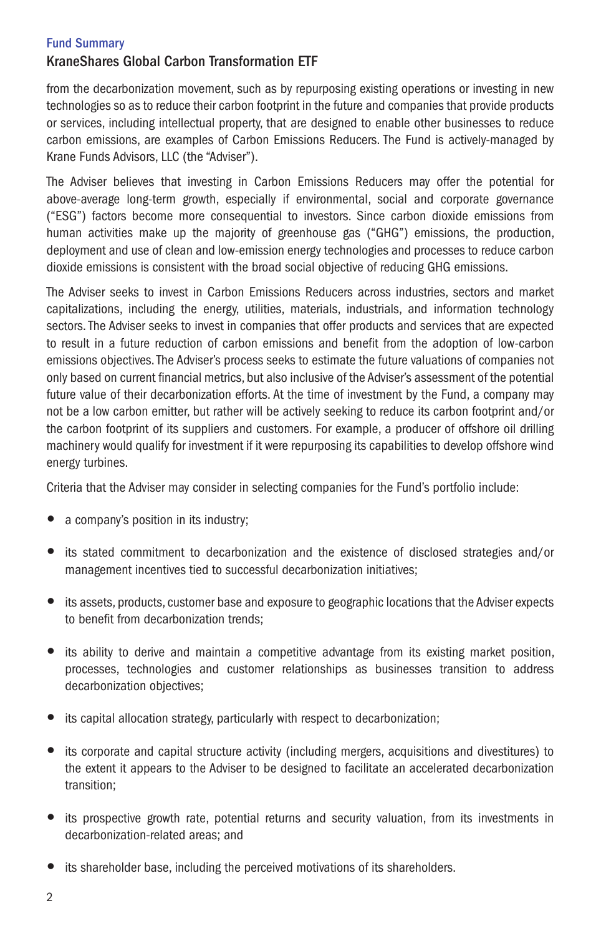# KraneShares Global Carbon Transformation ETF

from the decarbonization movement, such as by repurposing existing operations or investing in new technologies so as to reduce their carbon footprint in the future and companies that provide products or services, including intellectual property, that are designed to enable other businesses to reduce carbon emissions, are examples of Carbon Emissions Reducers. The Fund is actively-managed by Krane Funds Advisors, LLC (the "Adviser").

The Adviser believes that investing in Carbon Emissions Reducers may offer the potential for above-average long-term growth, especially if environmental, social and corporate governance ("ESG") factors become more consequential to investors. Since carbon dioxide emissions from human activities make up the majority of greenhouse gas ("GHG") emissions, the production, deployment and use of clean and low-emission energy technologies and processes to reduce carbon dioxide emissions is consistent with the broad social objective of reducing GHG emissions.

The Adviser seeks to invest in Carbon Emissions Reducers across industries, sectors and market capitalizations, including the energy, utilities, materials, industrials, and information technology sectors. The Adviser seeks to invest in companies that offer products and services that are expected to result in a future reduction of carbon emissions and benefit from the adoption of low-carbon emissions objectives. The Adviser's process seeks to estimate the future valuations of companies not only based on current financial metrics, but also inclusive of the Adviser's assessment of the potential future value of their decarbonization efforts. At the time of investment by the Fund, a company may not be a low carbon emitter, but rather will be actively seeking to reduce its carbon footprint and/or the carbon footprint of its suppliers and customers. For example, a producer of offshore oil drilling machinery would qualify for investment if it were repurposing its capabilities to develop offshore wind energy turbines.

Criteria that the Adviser may consider in selecting companies for the Fund's portfolio include:

- a company's position in its industry;
- its stated commitment to decarbonization and the existence of disclosed strategies and/or management incentives tied to successful decarbonization initiatives;
- its assets, products, customer base and exposure to geographic locations that the Adviser expects to benefit from decarbonization trends;
- its ability to derive and maintain a competitive advantage from its existing market position, processes, technologies and customer relationships as businesses transition to address decarbonization objectives;
- its capital allocation strategy, particularly with respect to decarbonization;
- its corporate and capital structure activity (including mergers, acquisitions and divestitures) to the extent it appears to the Adviser to be designed to facilitate an accelerated decarbonization transition;
- its prospective growth rate, potential returns and security valuation, from its investments in decarbonization-related areas; and
- its shareholder base, including the perceived motivations of its shareholders.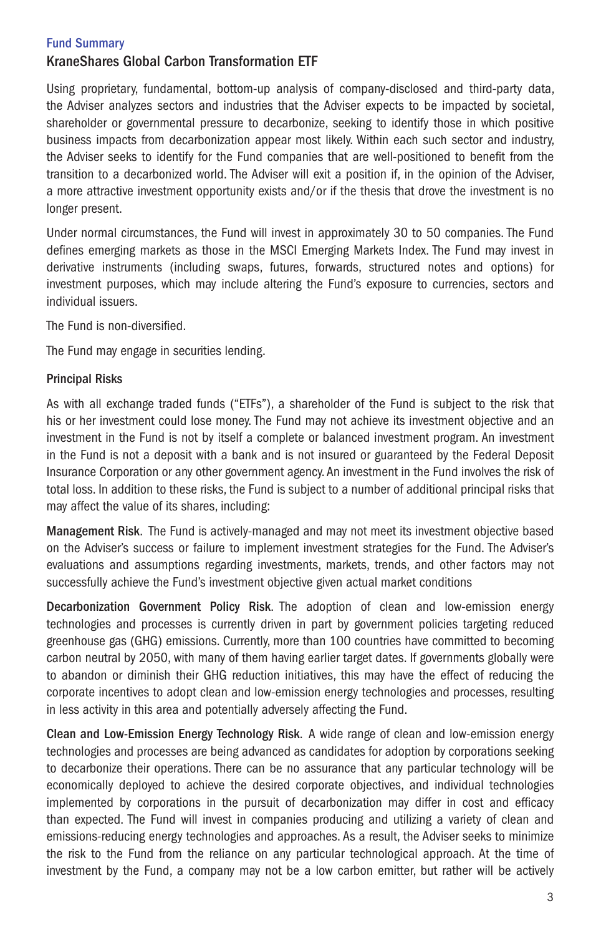# KraneShares Global Carbon Transformation ETF

Using proprietary, fundamental, bottom-up analysis of company-disclosed and third-party data, the Adviser analyzes sectors and industries that the Adviser expects to be impacted by societal, shareholder or governmental pressure to decarbonize, seeking to identify those in which positive business impacts from decarbonization appear most likely. Within each such sector and industry, the Adviser seeks to identify for the Fund companies that are well-positioned to benefit from the transition to a decarbonized world. The Adviser will exit a position if, in the opinion of the Adviser, a more attractive investment opportunity exists and/or if the thesis that drove the investment is no longer present.

Under normal circumstances, the Fund will invest in approximately 30 to 50 companies. The Fund defines emerging markets as those in the MSCI Emerging Markets Index. The Fund may invest in derivative instruments (including swaps, futures, forwards, structured notes and options) for investment purposes, which may include altering the Fund's exposure to currencies, sectors and individual issuers.

The Fund is non-diversified.

The Fund may engage in securities lending.

#### Principal Risks

As with all exchange traded funds ("ETFs"), a shareholder of the Fund is subject to the risk that his or her investment could lose money. The Fund may not achieve its investment objective and an investment in the Fund is not by itself a complete or balanced investment program. An investment in the Fund is not a deposit with a bank and is not insured or guaranteed by the Federal Deposit Insurance Corporation or any other government agency. An investment in the Fund involves the risk of total loss. In addition to these risks, the Fund is subject to a number of additional principal risks that may affect the value of its shares, including:

Management Risk. The Fund is actively-managed and may not meet its investment objective based on the Adviser's success or failure to implement investment strategies for the Fund. The Adviser's evaluations and assumptions regarding investments, markets, trends, and other factors may not successfully achieve the Fund's investment objective given actual market conditions

Decarbonization Government Policy Risk. The adoption of clean and low-emission energy technologies and processes is currently driven in part by government policies targeting reduced greenhouse gas (GHG) emissions. Currently, more than 100 countries have committed to becoming carbon neutral by 2050, with many of them having earlier target dates. If governments globally were to abandon or diminish their GHG reduction initiatives, this may have the effect of reducing the corporate incentives to adopt clean and low-emission energy technologies and processes, resulting in less activity in this area and potentially adversely affecting the Fund.

Clean and Low-Emission Energy Technology Risk. A wide range of clean and low-emission energy technologies and processes are being advanced as candidates for adoption by corporations seeking to decarbonize their operations. There can be no assurance that any particular technology will be economically deployed to achieve the desired corporate objectives, and individual technologies implemented by corporations in the pursuit of decarbonization may differ in cost and efficacy than expected. The Fund will invest in companies producing and utilizing a variety of clean and emissions-reducing energy technologies and approaches. As a result, the Adviser seeks to minimize the risk to the Fund from the reliance on any particular technological approach. At the time of investment by the Fund, a company may not be a low carbon emitter, but rather will be actively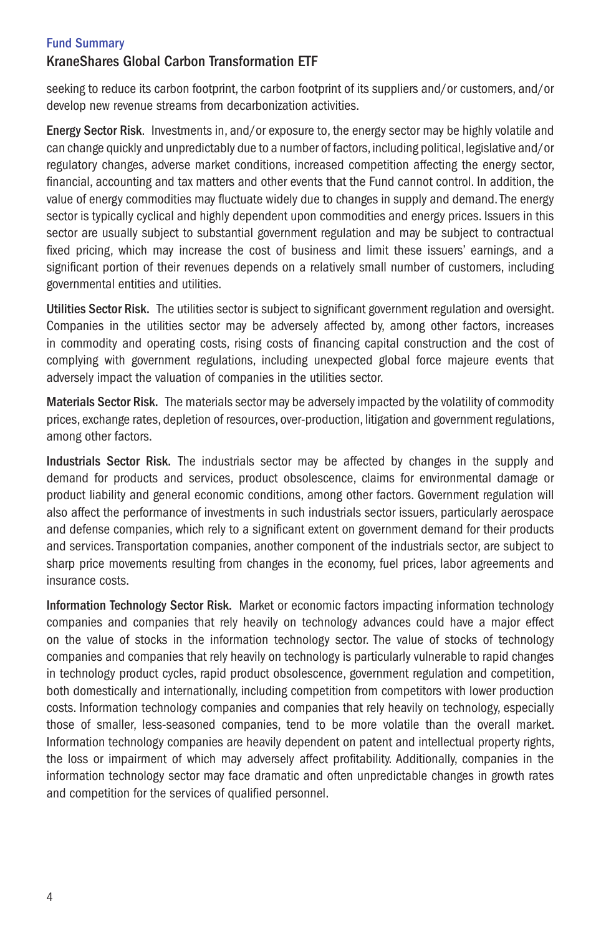# KraneShares Global Carbon Transformation ETF

seeking to reduce its carbon footprint, the carbon footprint of its suppliers and/or customers, and/or develop new revenue streams from decarbonization activities.

Energy Sector Risk. Investments in, and/or exposure to, the energy sector may be highly volatile and can change quickly and unpredictably due to a number of factors, including political, legislative and/or regulatory changes, adverse market conditions, increased competition affecting the energy sector, financial, accounting and tax matters and other events that the Fund cannot control. In addition, the value of energy commodities may fluctuate widely due to changes in supply and demand. The energy sector is typically cyclical and highly dependent upon commodities and energy prices. Issuers in this sector are usually subject to substantial government regulation and may be subject to contractual fixed pricing, which may increase the cost of business and limit these issuers' earnings, and a significant portion of their revenues depends on a relatively small number of customers, including governmental entities and utilities.

Utilities Sector Risk. The utilities sector is subject to significant government regulation and oversight. Companies in the utilities sector may be adversely affected by, among other factors, increases in commodity and operating costs, rising costs of financing capital construction and the cost of complying with government regulations, including unexpected global force majeure events that adversely impact the valuation of companies in the utilities sector.

Materials Sector Risk. The materials sector may be adversely impacted by the volatility of commodity prices, exchange rates, depletion of resources, over-production, litigation and government regulations, among other factors.

Industrials Sector Risk. The industrials sector may be affected by changes in the supply and demand for products and services, product obsolescence, claims for environmental damage or product liability and general economic conditions, among other factors. Government regulation will also affect the performance of investments in such industrials sector issuers, particularly aerospace and defense companies, which rely to a significant extent on government demand for their products and services. Transportation companies, another component of the industrials sector, are subject to sharp price movements resulting from changes in the economy, fuel prices, labor agreements and insurance costs.

Information Technology Sector Risk. Market or economic factors impacting information technology companies and companies that rely heavily on technology advances could have a major effect on the value of stocks in the information technology sector. The value of stocks of technology companies and companies that rely heavily on technology is particularly vulnerable to rapid changes in technology product cycles, rapid product obsolescence, government regulation and competition, both domestically and internationally, including competition from competitors with lower production costs. Information technology companies and companies that rely heavily on technology, especially those of smaller, less-seasoned companies, tend to be more volatile than the overall market. Information technology companies are heavily dependent on patent and intellectual property rights, the loss or impairment of which may adversely affect profitability. Additionally, companies in the information technology sector may face dramatic and often unpredictable changes in growth rates and competition for the services of qualified personnel.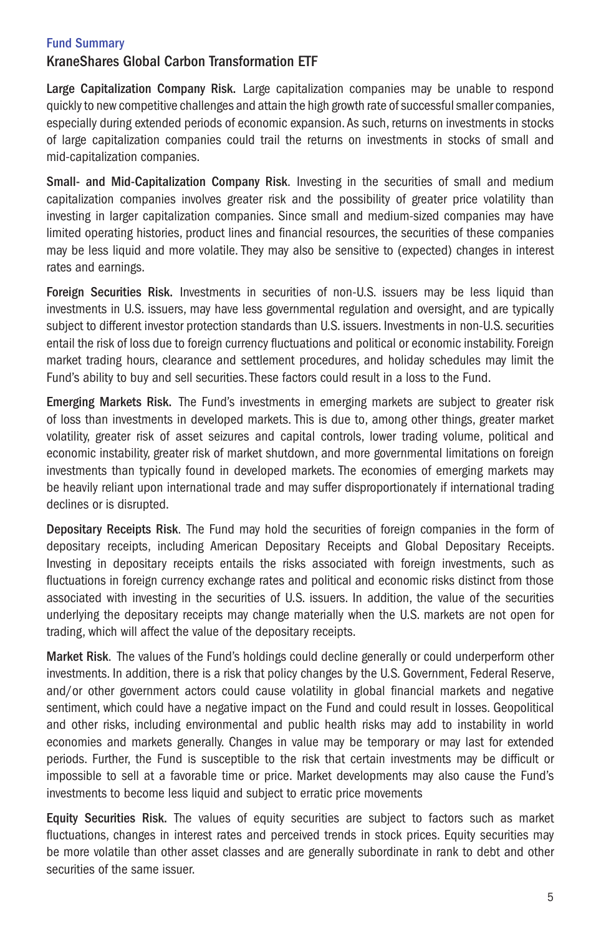# KraneShares Global Carbon Transformation ETF

Large Capitalization Company Risk. Large capitalization companies may be unable to respond quickly to new competitive challenges and attain the high growth rate of successful smaller companies, especially during extended periods of economic expansion. As such, returns on investments in stocks of large capitalization companies could trail the returns on investments in stocks of small and mid-capitalization companies.

Small- and Mid-Capitalization Company Risk. Investing in the securities of small and medium capitalization companies involves greater risk and the possibility of greater price volatility than investing in larger capitalization companies. Since small and medium-sized companies may have limited operating histories, product lines and financial resources, the securities of these companies may be less liquid and more volatile. They may also be sensitive to (expected) changes in interest rates and earnings.

Foreign Securities Risk. Investments in securities of non-U.S. issuers may be less liquid than investments in U.S. issuers, may have less governmental regulation and oversight, and are typically subject to different investor protection standards than U.S. issuers. Investments in non-U.S. securities entail the risk of loss due to foreign currency fluctuations and political or economic instability. Foreign market trading hours, clearance and settlement procedures, and holiday schedules may limit the Fund's ability to buy and sell securities. These factors could result in a loss to the Fund.

Emerging Markets Risk. The Fund's investments in emerging markets are subject to greater risk of loss than investments in developed markets. This is due to, among other things, greater market volatility, greater risk of asset seizures and capital controls, lower trading volume, political and economic instability, greater risk of market shutdown, and more governmental limitations on foreign investments than typically found in developed markets. The economies of emerging markets may be heavily reliant upon international trade and may suffer disproportionately if international trading declines or is disrupted.

Depositary Receipts Risk. The Fund may hold the securities of foreign companies in the form of depositary receipts, including American Depositary Receipts and Global Depositary Receipts. Investing in depositary receipts entails the risks associated with foreign investments, such as fluctuations in foreign currency exchange rates and political and economic risks distinct from those associated with investing in the securities of U.S. issuers. In addition, the value of the securities underlying the depositary receipts may change materially when the U.S. markets are not open for trading, which will affect the value of the depositary receipts.

Market Risk. The values of the Fund's holdings could decline generally or could underperform other investments. In addition, there is a risk that policy changes by the U.S. Government, Federal Reserve, and/or other government actors could cause volatility in global financial markets and negative sentiment, which could have a negative impact on the Fund and could result in losses. Geopolitical and other risks, including environmental and public health risks may add to instability in world economies and markets generally. Changes in value may be temporary or may last for extended periods. Further, the Fund is susceptible to the risk that certain investments may be difficult or impossible to sell at a favorable time or price. Market developments may also cause the Fund's investments to become less liquid and subject to erratic price movements

Equity Securities Risk. The values of equity securities are subject to factors such as market fluctuations, changes in interest rates and perceived trends in stock prices. Equity securities may be more volatile than other asset classes and are generally subordinate in rank to debt and other securities of the same issuer.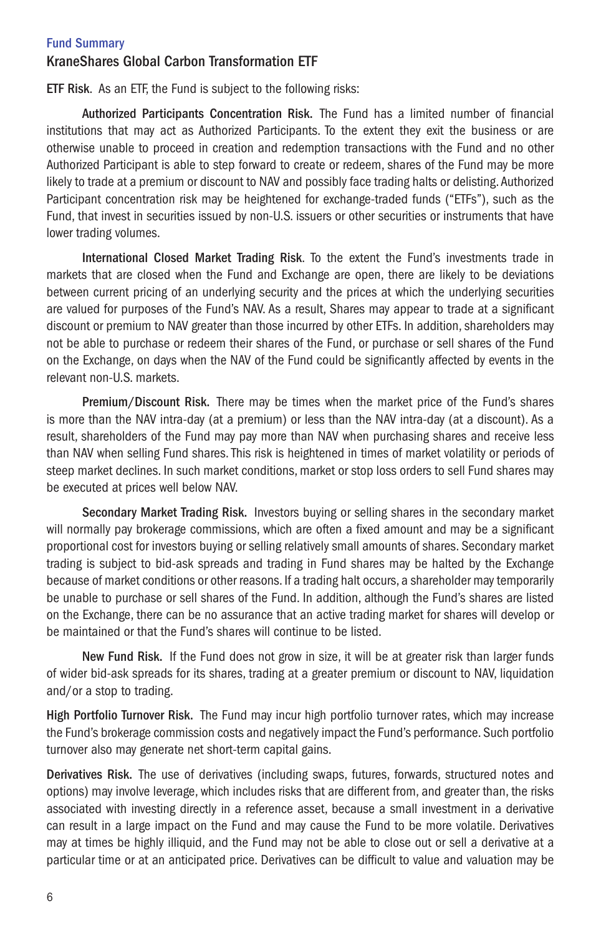# KraneShares Global Carbon Transformation ETF

ETF Risk. As an ETF, the Fund is subject to the following risks:

Authorized Participants Concentration Risk. The Fund has a limited number of financial institutions that may act as Authorized Participants. To the extent they exit the business or are otherwise unable to proceed in creation and redemption transactions with the Fund and no other Authorized Participant is able to step forward to create or redeem, shares of the Fund may be more likely to trade at a premium or discount to NAV and possibly face trading halts or delisting. Authorized Participant concentration risk may be heightened for exchange-traded funds ("ETFs"), such as the Fund, that invest in securities issued by non-U.S. issuers or other securities or instruments that have lower trading volumes.

International Closed Market Trading Risk. To the extent the Fund's investments trade in markets that are closed when the Fund and Exchange are open, there are likely to be deviations between current pricing of an underlying security and the prices at which the underlying securities are valued for purposes of the Fund's NAV. As a result, Shares may appear to trade at a significant discount or premium to NAV greater than those incurred by other ETFs. In addition, shareholders may not be able to purchase or redeem their shares of the Fund, or purchase or sell shares of the Fund on the Exchange, on days when the NAV of the Fund could be significantly affected by events in the relevant non-U.S. markets.

Premium/Discount Risk. There may be times when the market price of the Fund's shares is more than the NAV intra-day (at a premium) or less than the NAV intra-day (at a discount). As a result, shareholders of the Fund may pay more than NAV when purchasing shares and receive less than NAV when selling Fund shares. This risk is heightened in times of market volatility or periods of steep market declines. In such market conditions, market or stop loss orders to sell Fund shares may be executed at prices well below NAV.

Secondary Market Trading Risk. Investors buying or selling shares in the secondary market will normally pay brokerage commissions, which are often a fixed amount and may be a significant proportional cost for investors buying or selling relatively small amounts of shares. Secondary market trading is subject to bid-ask spreads and trading in Fund shares may be halted by the Exchange because of market conditions or other reasons. If a trading halt occurs, a shareholder may temporarily be unable to purchase or sell shares of the Fund. In addition, although the Fund's shares are listed on the Exchange, there can be no assurance that an active trading market for shares will develop or be maintained or that the Fund's shares will continue to be listed.

New Fund Risk. If the Fund does not grow in size, it will be at greater risk than larger funds of wider bid-ask spreads for its shares, trading at a greater premium or discount to NAV, liquidation and/or a stop to trading.

High Portfolio Turnover Risk. The Fund may incur high portfolio turnover rates, which may increase the Fund's brokerage commission costs and negatively impact the Fund's performance. Such portfolio turnover also may generate net short-term capital gains.

Derivatives Risk. The use of derivatives (including swaps, futures, forwards, structured notes and options) may involve leverage, which includes risks that are different from, and greater than, the risks associated with investing directly in a reference asset, because a small investment in a derivative can result in a large impact on the Fund and may cause the Fund to be more volatile. Derivatives may at times be highly illiquid, and the Fund may not be able to close out or sell a derivative at a particular time or at an anticipated price. Derivatives can be difficult to value and valuation may be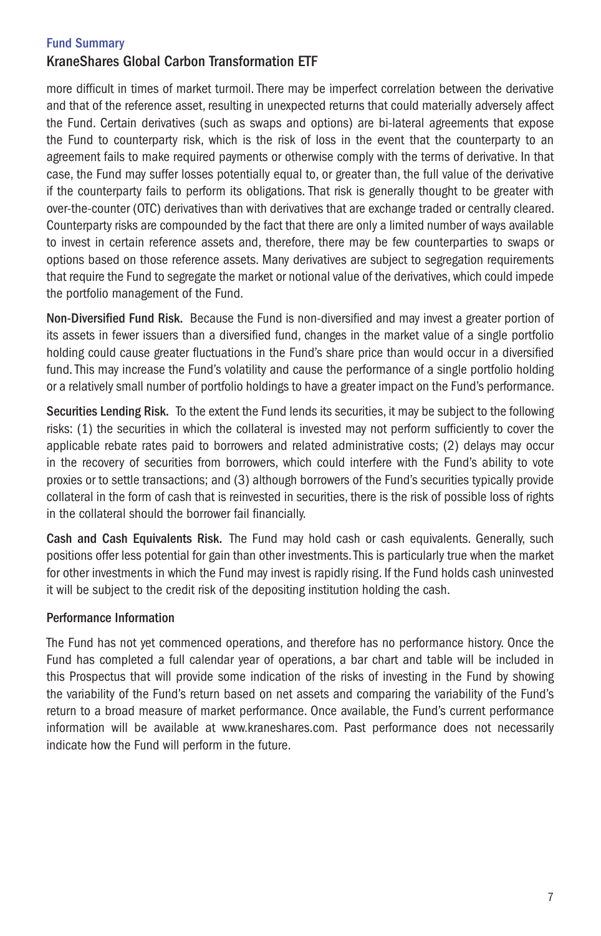# KraneShares Global Carbon Transformation ETF

more difficult in times of market turmoil. There may be imperfect correlation between the derivative and that of the reference asset, resulting in unexpected returns that could materially adversely affect the Fund. Certain derivatives (such as swaps and options) are bi-lateral agreements that expose the Fund to counterparty risk, which is the risk of loss in the event that the counterparty to an agreement fails to make required payments or otherwise comply with the terms of derivative. In that case, the Fund may suffer losses potentially equal to, or greater than, the full value of the derivative if the counterparty fails to perform its obligations. That risk is generally thought to be greater with over-the-counter (OTC) derivatives than with derivatives that are exchange traded or centrally cleared. Counterparty risks are compounded by the fact that there are only a limited number of ways available to invest in certain reference assets and, therefore, there may be few counterparties to swaps or options based on those reference assets. Many derivatives are subject to segregation requirements that require the Fund to segregate the market or notional value of the derivatives, which could impede the portfolio management of the Fund.

Non-Diversified Fund Risk. Because the Fund is non-diversified and may invest a greater portion of its assets in fewer issuers than a diversified fund, changes in the market value of a single portfolio holding could cause greater fluctuations in the Fund's share price than would occur in a diversified fund. This may increase the Fund's volatility and cause the performance of a single portfolio holding or a relatively small number of portfolio holdings to have a greater impact on the Fund's performance.

Securities Lending Risk. To the extent the Fund lends its securities, it may be subject to the following risks: (1) the securities in which the collateral is invested may not perform sufficiently to cover the applicable rebate rates paid to borrowers and related administrative costs; (2) delays may occur in the recovery of securities from borrowers, which could interfere with the Fund's ability to vote proxies or to settle transactions; and (3) although borrowers of the Fund's securities typically provide collateral in the form of cash that is reinvested in securities, there is the risk of possible loss of rights in the collateral should the borrower fail financially.

Cash and Cash Equivalents Risk. The Fund may hold cash or cash equivalents. Generally, such positions offer less potential for gain than other investments. This is particularly true when the market for other investments in which the Fund may invest is rapidly rising. If the Fund holds cash uninvested it will be subject to the credit risk of the depositing institution holding the cash.

# Performance Information

The Fund has not yet commenced operations, and therefore has no performance history. Once the Fund has completed a full calendar year of operations, a bar chart and table will be included in this Prospectus that will provide some indication of the risks of investing in the Fund by showing the variability of the Fund's return based on net assets and comparing the variability of the Fund's return to a broad measure of market performance. Once available, the Fund's current performance information will be available at www.kraneshares.com. Past performance does not necessarily indicate how the Fund will perform in the future.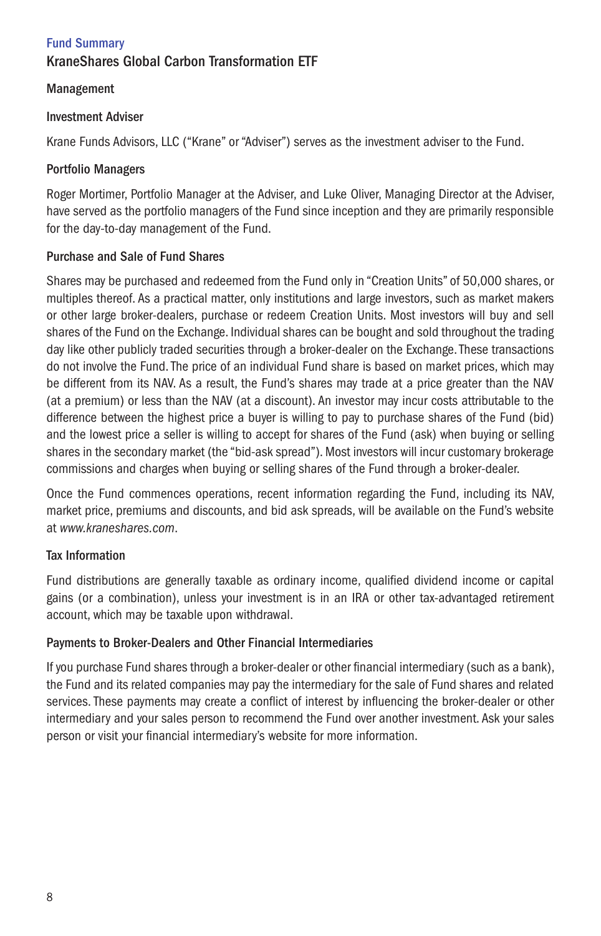# Fund Summary KraneShares Global Carbon Transformation ETF

# Management

# Investment Adviser

Krane Funds Advisors, LLC ("Krane" or "Adviser") serves as the investment adviser to the Fund.

# Portfolio Managers

Roger Mortimer, Portfolio Manager at the Adviser, and Luke Oliver, Managing Director at the Adviser, have served as the portfolio managers of the Fund since inception and they are primarily responsible for the day-to-day management of the Fund.

# Purchase and Sale of Fund Shares

Shares may be purchased and redeemed from the Fund only in "Creation Units" of 50,000 shares, or multiples thereof. As a practical matter, only institutions and large investors, such as market makers or other large broker-dealers, purchase or redeem Creation Units. Most investors will buy and sell shares of the Fund on the Exchange. Individual shares can be bought and sold throughout the trading day like other publicly traded securities through a broker-dealer on the Exchange. These transactions do not involve the Fund. The price of an individual Fund share is based on market prices, which may be different from its NAV. As a result, the Fund's shares may trade at a price greater than the NAV (at a premium) or less than the NAV (at a discount). An investor may incur costs attributable to the difference between the highest price a buyer is willing to pay to purchase shares of the Fund (bid) and the lowest price a seller is willing to accept for shares of the Fund (ask) when buying or selling shares in the secondary market (the "bid-ask spread"). Most investors will incur customary brokerage commissions and charges when buying or selling shares of the Fund through a broker-dealer.

Once the Fund commences operations, recent information regarding the Fund, including its NAV, market price, premiums and discounts, and bid ask spreads, will be available on the Fund's website at *www.kraneshares.com*.

# Tax Information

Fund distributions are generally taxable as ordinary income, qualified dividend income or capital gains (or a combination), unless your investment is in an IRA or other tax-advantaged retirement account, which may be taxable upon withdrawal.

# Payments to Broker-Dealers and Other Financial Intermediaries

If you purchase Fund shares through a broker-dealer or other financial intermediary (such as a bank), the Fund and its related companies may pay the intermediary for the sale of Fund shares and related services. These payments may create a conflict of interest by influencing the broker-dealer or other intermediary and your sales person to recommend the Fund over another investment. Ask your sales person or visit your financial intermediary's website for more information.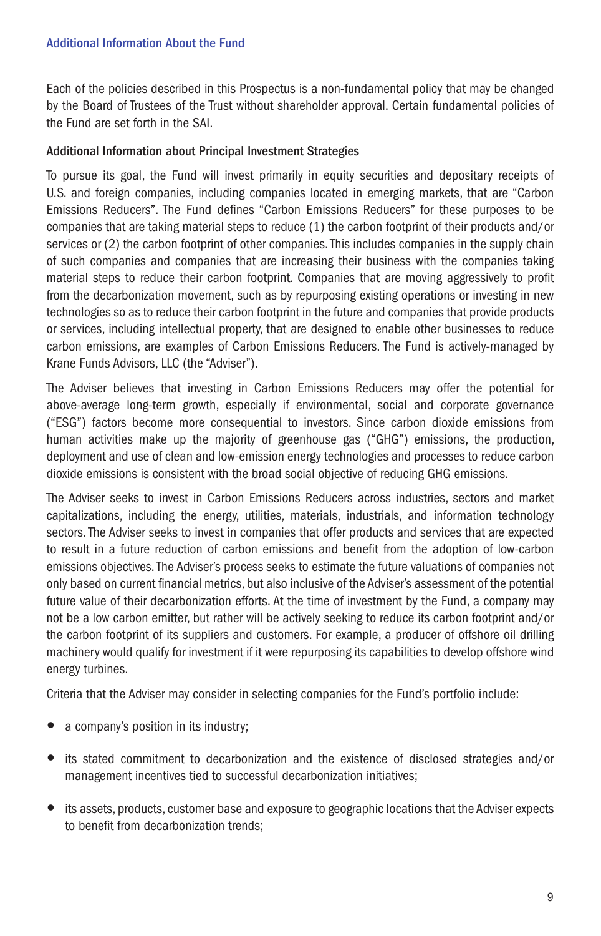Each of the policies described in this Prospectus is a non-fundamental policy that may be changed by the Board of Trustees of the Trust without shareholder approval. Certain fundamental policies of the Fund are set forth in the SAI.

# Additional Information about Principal Investment Strategies

To pursue its goal, the Fund will invest primarily in equity securities and depositary receipts of U.S. and foreign companies, including companies located in emerging markets, that are "Carbon Emissions Reducers". The Fund defines "Carbon Emissions Reducers" for these purposes to be companies that are taking material steps to reduce (1) the carbon footprint of their products and/or services or (2) the carbon footprint of other companies. This includes companies in the supply chain of such companies and companies that are increasing their business with the companies taking material steps to reduce their carbon footprint. Companies that are moving aggressively to profit from the decarbonization movement, such as by repurposing existing operations or investing in new technologies so as to reduce their carbon footprint in the future and companies that provide products or services, including intellectual property, that are designed to enable other businesses to reduce carbon emissions, are examples of Carbon Emissions Reducers. The Fund is actively-managed by Krane Funds Advisors, LLC (the "Adviser").

The Adviser believes that investing in Carbon Emissions Reducers may offer the potential for above-average long-term growth, especially if environmental, social and corporate governance ("ESG") factors become more consequential to investors. Since carbon dioxide emissions from human activities make up the majority of greenhouse gas ("GHG") emissions, the production, deployment and use of clean and low-emission energy technologies and processes to reduce carbon dioxide emissions is consistent with the broad social objective of reducing GHG emissions.

The Adviser seeks to invest in Carbon Emissions Reducers across industries, sectors and market capitalizations, including the energy, utilities, materials, industrials, and information technology sectors. The Adviser seeks to invest in companies that offer products and services that are expected to result in a future reduction of carbon emissions and benefit from the adoption of low-carbon emissions objectives. The Adviser's process seeks to estimate the future valuations of companies not only based on current financial metrics, but also inclusive of the Adviser's assessment of the potential future value of their decarbonization efforts. At the time of investment by the Fund, a company may not be a low carbon emitter, but rather will be actively seeking to reduce its carbon footprint and/or the carbon footprint of its suppliers and customers. For example, a producer of offshore oil drilling machinery would qualify for investment if it were repurposing its capabilities to develop offshore wind energy turbines.

Criteria that the Adviser may consider in selecting companies for the Fund's portfolio include:

- a company's position in its industry;
- its stated commitment to decarbonization and the existence of disclosed strategies and/or management incentives tied to successful decarbonization initiatives;
- its assets, products, customer base and exposure to geographic locations that the Adviser expects to benefit from decarbonization trends;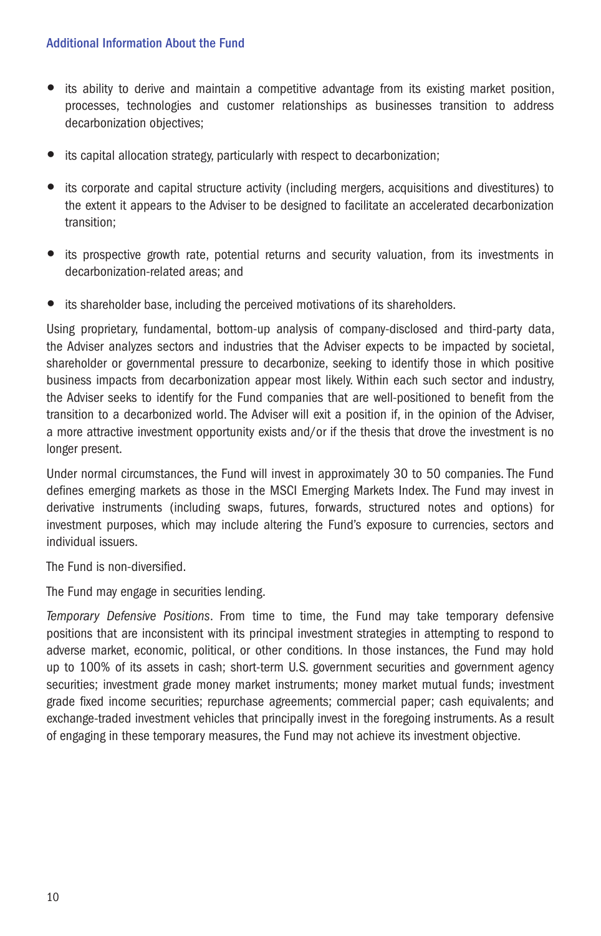- its ability to derive and maintain a competitive advantage from its existing market position, processes, technologies and customer relationships as businesses transition to address decarbonization objectives;
- its capital allocation strategy, particularly with respect to decarbonization;
- its corporate and capital structure activity (including mergers, acquisitions and divestitures) to the extent it appears to the Adviser to be designed to facilitate an accelerated decarbonization transition;
- its prospective growth rate, potential returns and security valuation, from its investments in decarbonization-related areas; and
- $\bullet$  its shareholder base, including the perceived motivations of its shareholders.

Using proprietary, fundamental, bottom-up analysis of company-disclosed and third-party data, the Adviser analyzes sectors and industries that the Adviser expects to be impacted by societal, shareholder or governmental pressure to decarbonize, seeking to identify those in which positive business impacts from decarbonization appear most likely. Within each such sector and industry, the Adviser seeks to identify for the Fund companies that are well-positioned to benefit from the transition to a decarbonized world. The Adviser will exit a position if, in the opinion of the Adviser, a more attractive investment opportunity exists and/or if the thesis that drove the investment is no longer present.

Under normal circumstances, the Fund will invest in approximately 30 to 50 companies. The Fund defines emerging markets as those in the MSCI Emerging Markets Index. The Fund may invest in derivative instruments (including swaps, futures, forwards, structured notes and options) for investment purposes, which may include altering the Fund's exposure to currencies, sectors and individual issuers.

The Fund is non-diversified.

The Fund may engage in securities lending.

*Temporary Defensive Positions*. From time to time, the Fund may take temporary defensive positions that are inconsistent with its principal investment strategies in attempting to respond to adverse market, economic, political, or other conditions. In those instances, the Fund may hold up to 100% of its assets in cash; short-term U.S. government securities and government agency securities; investment grade money market instruments; money market mutual funds; investment grade fixed income securities; repurchase agreements; commercial paper; cash equivalents; and exchange-traded investment vehicles that principally invest in the foregoing instruments. As a result of engaging in these temporary measures, the Fund may not achieve its investment objective.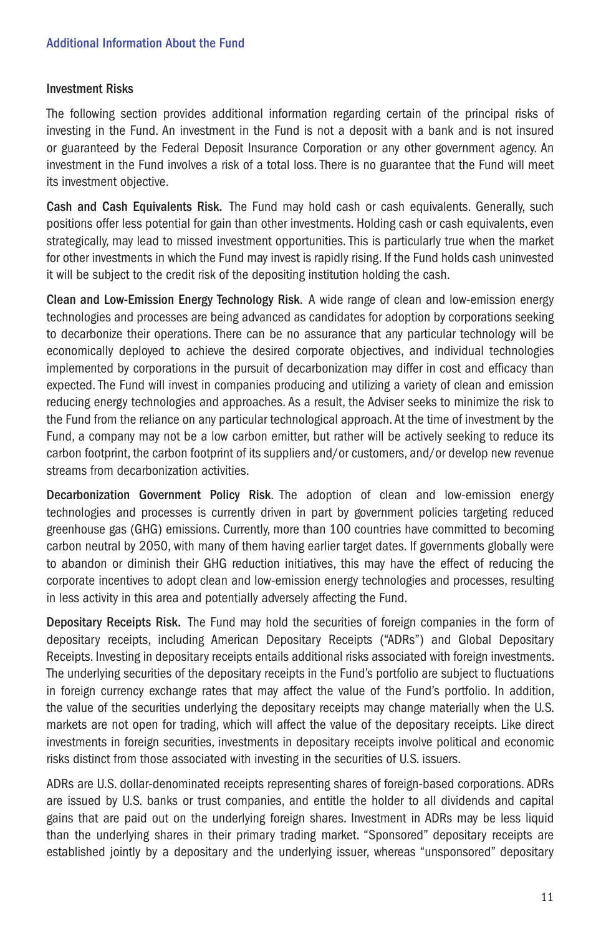#### Investment Risks

The following section provides additional information regarding certain of the principal risks of investing in the Fund. An investment in the Fund is not a deposit with a bank and is not insured or guaranteed by the Federal Deposit Insurance Corporation or any other government agency. An investment in the Fund involves a risk of a total loss. There is no guarantee that the Fund will meet its investment objective.

Cash and Cash Equivalents Risk. The Fund may hold cash or cash equivalents. Generally, such positions offer less potential for gain than other investments. Holding cash or cash equivalents, even strategically, may lead to missed investment opportunities. This is particularly true when the market for other investments in which the Fund may invest is rapidly rising. If the Fund holds cash uninvested it will be subject to the credit risk of the depositing institution holding the cash.

Clean and Low-Emission Energy Technology Risk. A wide range of clean and low-emission energy technologies and processes are being advanced as candidates for adoption by corporations seeking to decarbonize their operations. There can be no assurance that any particular technology will be economically deployed to achieve the desired corporate objectives, and individual technologies implemented by corporations in the pursuit of decarbonization may differ in cost and efficacy than expected. The Fund will invest in companies producing and utilizing a variety of clean and emission reducing energy technologies and approaches. As a result, the Adviser seeks to minimize the risk to the Fund from the reliance on any particular technological approach. At the time of investment by the Fund, a company may not be a low carbon emitter, but rather will be actively seeking to reduce its carbon footprint, the carbon footprint of its suppliers and/or customers, and/or develop new revenue streams from decarbonization activities.

Decarbonization Government Policy Risk. The adoption of clean and low-emission energy technologies and processes is currently driven in part by government policies targeting reduced greenhouse gas (GHG) emissions. Currently, more than 100 countries have committed to becoming carbon neutral by 2050, with many of them having earlier target dates. If governments globally were to abandon or diminish their GHG reduction initiatives, this may have the effect of reducing the corporate incentives to adopt clean and low-emission energy technologies and processes, resulting in less activity in this area and potentially adversely affecting the Fund.

Depositary Receipts Risk. The Fund may hold the securities of foreign companies in the form of depositary receipts, including American Depositary Receipts ("ADRs") and Global Depositary Receipts. Investing in depositary receipts entails additional risks associated with foreign investments. The underlying securities of the depositary receipts in the Fund's portfolio are subject to fluctuations in foreign currency exchange rates that may affect the value of the Fund's portfolio. In addition, the value of the securities underlying the depositary receipts may change materially when the U.S. markets are not open for trading, which will affect the value of the depositary receipts. Like direct investments in foreign securities, investments in depositary receipts involve political and economic risks distinct from those associated with investing in the securities of U.S. issuers.

ADRs are U.S. dollar-denominated receipts representing shares of foreign-based corporations. ADRs are issued by U.S. banks or trust companies, and entitle the holder to all dividends and capital gains that are paid out on the underlying foreign shares. Investment in ADRs may be less liquid than the underlying shares in their primary trading market. "Sponsored" depositary receipts are established jointly by a depositary and the underlying issuer, whereas "unsponsored" depositary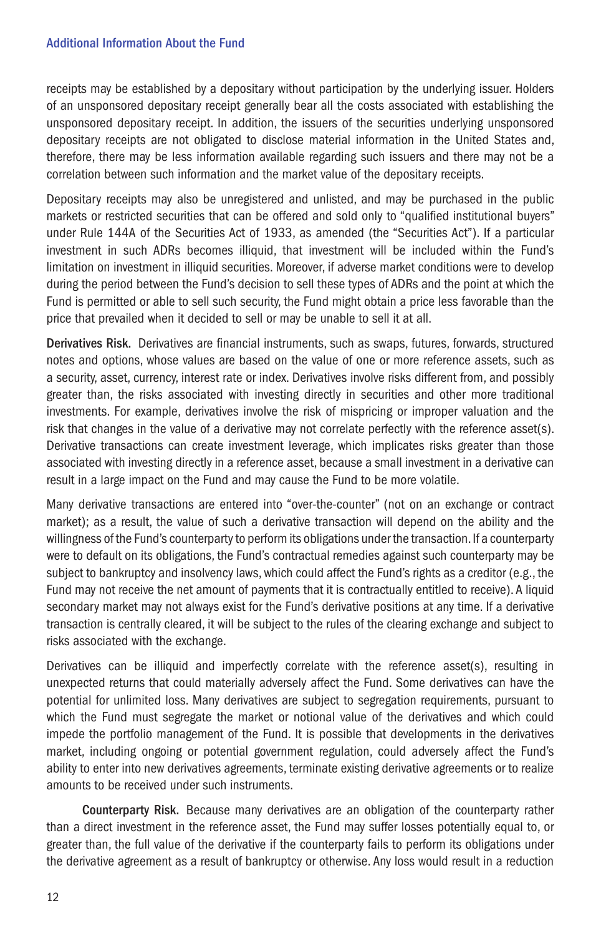receipts may be established by a depositary without participation by the underlying issuer. Holders of an unsponsored depositary receipt generally bear all the costs associated with establishing the unsponsored depositary receipt. In addition, the issuers of the securities underlying unsponsored depositary receipts are not obligated to disclose material information in the United States and, therefore, there may be less information available regarding such issuers and there may not be a correlation between such information and the market value of the depositary receipts.

Depositary receipts may also be unregistered and unlisted, and may be purchased in the public markets or restricted securities that can be offered and sold only to "qualified institutional buyers" under Rule 144A of the Securities Act of 1933, as amended (the "Securities Act"). If a particular investment in such ADRs becomes illiquid, that investment will be included within the Fund's limitation on investment in illiquid securities. Moreover, if adverse market conditions were to develop during the period between the Fund's decision to sell these types of ADRs and the point at which the Fund is permitted or able to sell such security, the Fund might obtain a price less favorable than the price that prevailed when it decided to sell or may be unable to sell it at all.

Derivatives Risk. Derivatives are financial instruments, such as swaps, futures, forwards, structured notes and options, whose values are based on the value of one or more reference assets, such as a security, asset, currency, interest rate or index. Derivatives involve risks different from, and possibly greater than, the risks associated with investing directly in securities and other more traditional investments. For example, derivatives involve the risk of mispricing or improper valuation and the risk that changes in the value of a derivative may not correlate perfectly with the reference asset(s). Derivative transactions can create investment leverage, which implicates risks greater than those associated with investing directly in a reference asset, because a small investment in a derivative can result in a large impact on the Fund and may cause the Fund to be more volatile.

Many derivative transactions are entered into "over-the-counter" (not on an exchange or contract market); as a result, the value of such a derivative transaction will depend on the ability and the willingness of the Fund's counterparty to perform its obligations under the transaction. If a counterparty were to default on its obligations, the Fund's contractual remedies against such counterparty may be subject to bankruptcy and insolvency laws, which could affect the Fund's rights as a creditor (e.g., the Fund may not receive the net amount of payments that it is contractually entitled to receive). A liquid secondary market may not always exist for the Fund's derivative positions at any time. If a derivative transaction is centrally cleared, it will be subject to the rules of the clearing exchange and subject to risks associated with the exchange.

Derivatives can be illiquid and imperfectly correlate with the reference asset(s), resulting in unexpected returns that could materially adversely affect the Fund. Some derivatives can have the potential for unlimited loss. Many derivatives are subject to segregation requirements, pursuant to which the Fund must segregate the market or notional value of the derivatives and which could impede the portfolio management of the Fund. It is possible that developments in the derivatives market, including ongoing or potential government regulation, could adversely affect the Fund's ability to enter into new derivatives agreements, terminate existing derivative agreements or to realize amounts to be received under such instruments.

Counterparty Risk. Because many derivatives are an obligation of the counterparty rather than a direct investment in the reference asset, the Fund may suffer losses potentially equal to, or greater than, the full value of the derivative if the counterparty fails to perform its obligations under the derivative agreement as a result of bankruptcy or otherwise. Any loss would result in a reduction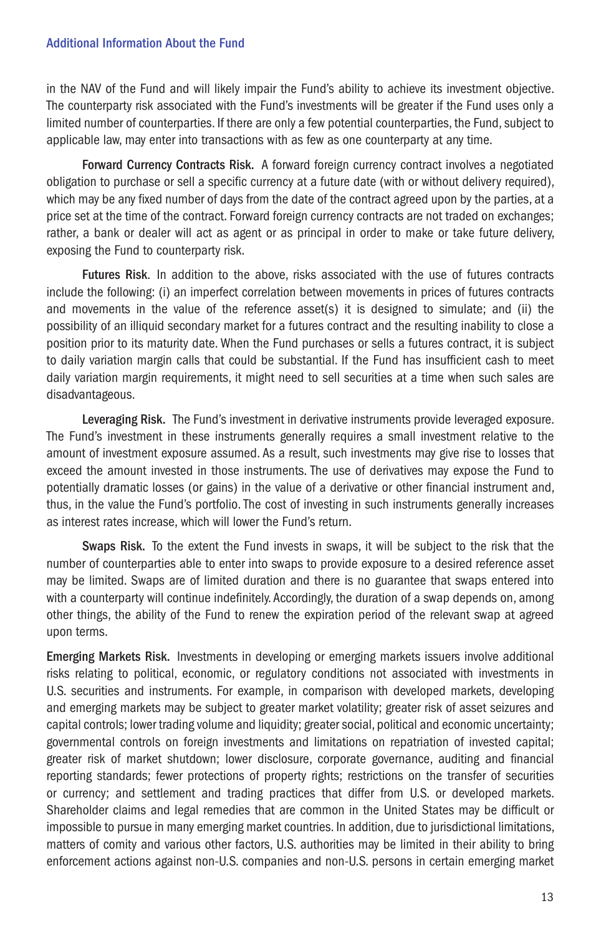in the NAV of the Fund and will likely impair the Fund's ability to achieve its investment objective. The counterparty risk associated with the Fund's investments will be greater if the Fund uses only a limited number of counterparties. If there are only a few potential counterparties, the Fund, subject to applicable law, may enter into transactions with as few as one counterparty at any time.

Forward Currency Contracts Risk. A forward foreign currency contract involves a negotiated obligation to purchase or sell a specific currency at a future date (with or without delivery required), which may be any fixed number of days from the date of the contract agreed upon by the parties, at a price set at the time of the contract. Forward foreign currency contracts are not traded on exchanges; rather, a bank or dealer will act as agent or as principal in order to make or take future delivery, exposing the Fund to counterparty risk.

Futures Risk. In addition to the above, risks associated with the use of futures contracts include the following: (i) an imperfect correlation between movements in prices of futures contracts and movements in the value of the reference asset(s) it is designed to simulate; and (ii) the possibility of an illiquid secondary market for a futures contract and the resulting inability to close a position prior to its maturity date. When the Fund purchases or sells a futures contract, it is subject to daily variation margin calls that could be substantial. If the Fund has insufficient cash to meet daily variation margin requirements, it might need to sell securities at a time when such sales are disadvantageous.

Leveraging Risk. The Fund's investment in derivative instruments provide leveraged exposure. The Fund's investment in these instruments generally requires a small investment relative to the amount of investment exposure assumed. As a result, such investments may give rise to losses that exceed the amount invested in those instruments. The use of derivatives may expose the Fund to potentially dramatic losses (or gains) in the value of a derivative or other financial instrument and, thus, in the value the Fund's portfolio. The cost of investing in such instruments generally increases as interest rates increase, which will lower the Fund's return.

Swaps Risk. To the extent the Fund invests in swaps, it will be subject to the risk that the number of counterparties able to enter into swaps to provide exposure to a desired reference asset may be limited. Swaps are of limited duration and there is no guarantee that swaps entered into with a counterparty will continue indefinitely. Accordingly, the duration of a swap depends on, among other things, the ability of the Fund to renew the expiration period of the relevant swap at agreed upon terms.

Emerging Markets Risk. Investments in developing or emerging markets issuers involve additional risks relating to political, economic, or regulatory conditions not associated with investments in U.S. securities and instruments. For example, in comparison with developed markets, developing and emerging markets may be subject to greater market volatility; greater risk of asset seizures and capital controls; lower trading volume and liquidity; greater social, political and economic uncertainty; governmental controls on foreign investments and limitations on repatriation of invested capital; greater risk of market shutdown; lower disclosure, corporate governance, auditing and financial reporting standards; fewer protections of property rights; restrictions on the transfer of securities or currency; and settlement and trading practices that differ from U.S. or developed markets. Shareholder claims and legal remedies that are common in the United States may be difficult or impossible to pursue in many emerging market countries. In addition, due to jurisdictional limitations, matters of comity and various other factors, U.S. authorities may be limited in their ability to bring enforcement actions against non-U.S. companies and non-U.S. persons in certain emerging market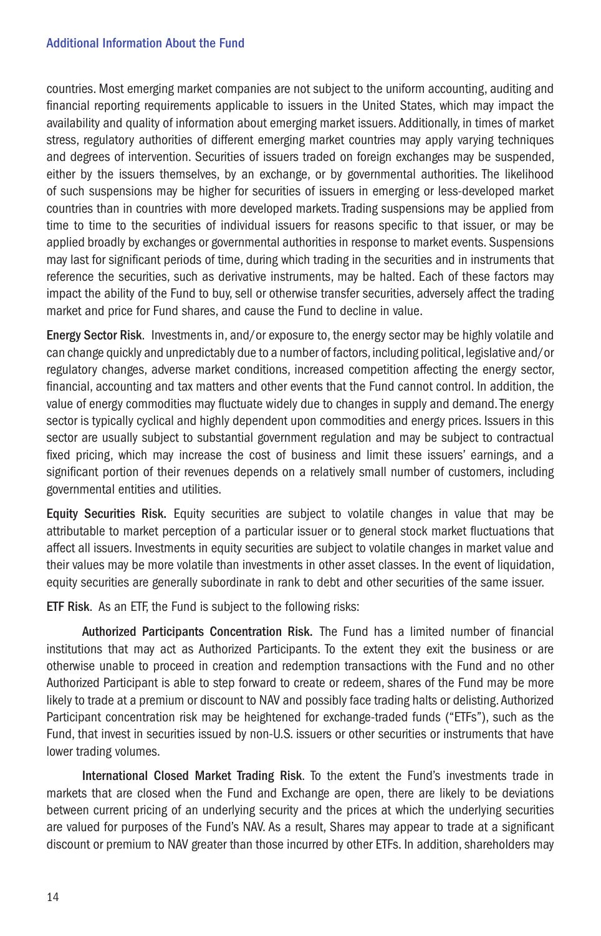countries. Most emerging market companies are not subject to the uniform accounting, auditing and financial reporting requirements applicable to issuers in the United States, which may impact the availability and quality of information about emerging market issuers. Additionally, in times of market stress, regulatory authorities of different emerging market countries may apply varying techniques and degrees of intervention. Securities of issuers traded on foreign exchanges may be suspended, either by the issuers themselves, by an exchange, or by governmental authorities. The likelihood of such suspensions may be higher for securities of issuers in emerging or less-developed market countries than in countries with more developed markets. Trading suspensions may be applied from time to time to the securities of individual issuers for reasons specific to that issuer, or may be applied broadly by exchanges or governmental authorities in response to market events. Suspensions may last for significant periods of time, during which trading in the securities and in instruments that reference the securities, such as derivative instruments, may be halted. Each of these factors may impact the ability of the Fund to buy, sell or otherwise transfer securities, adversely affect the trading market and price for Fund shares, and cause the Fund to decline in value.

Energy Sector Risk. Investments in, and/or exposure to, the energy sector may be highly volatile and can change quickly and unpredictably due to a number of factors, including political, legislative and/or regulatory changes, adverse market conditions, increased competition affecting the energy sector, financial, accounting and tax matters and other events that the Fund cannot control. In addition, the value of energy commodities may fluctuate widely due to changes in supply and demand. The energy sector is typically cyclical and highly dependent upon commodities and energy prices. Issuers in this sector are usually subject to substantial government regulation and may be subject to contractual fixed pricing, which may increase the cost of business and limit these issuers' earnings, and a significant portion of their revenues depends on a relatively small number of customers, including governmental entities and utilities.

Equity Securities Risk. Equity securities are subject to volatile changes in value that may be attributable to market perception of a particular issuer or to general stock market fluctuations that affect all issuers. Investments in equity securities are subject to volatile changes in market value and their values may be more volatile than investments in other asset classes. In the event of liquidation, equity securities are generally subordinate in rank to debt and other securities of the same issuer.

ETF Risk. As an ETF, the Fund is subject to the following risks:

Authorized Participants Concentration Risk. The Fund has a limited number of financial institutions that may act as Authorized Participants. To the extent they exit the business or are otherwise unable to proceed in creation and redemption transactions with the Fund and no other Authorized Participant is able to step forward to create or redeem, shares of the Fund may be more likely to trade at a premium or discount to NAV and possibly face trading halts or delisting. Authorized Participant concentration risk may be heightened for exchange-traded funds ("ETFs"), such as the Fund, that invest in securities issued by non-U.S. issuers or other securities or instruments that have lower trading volumes.

International Closed Market Trading Risk. To the extent the Fund's investments trade in markets that are closed when the Fund and Exchange are open, there are likely to be deviations between current pricing of an underlying security and the prices at which the underlying securities are valued for purposes of the Fund's NAV. As a result, Shares may appear to trade at a significant discount or premium to NAV greater than those incurred by other ETFs. In addition, shareholders may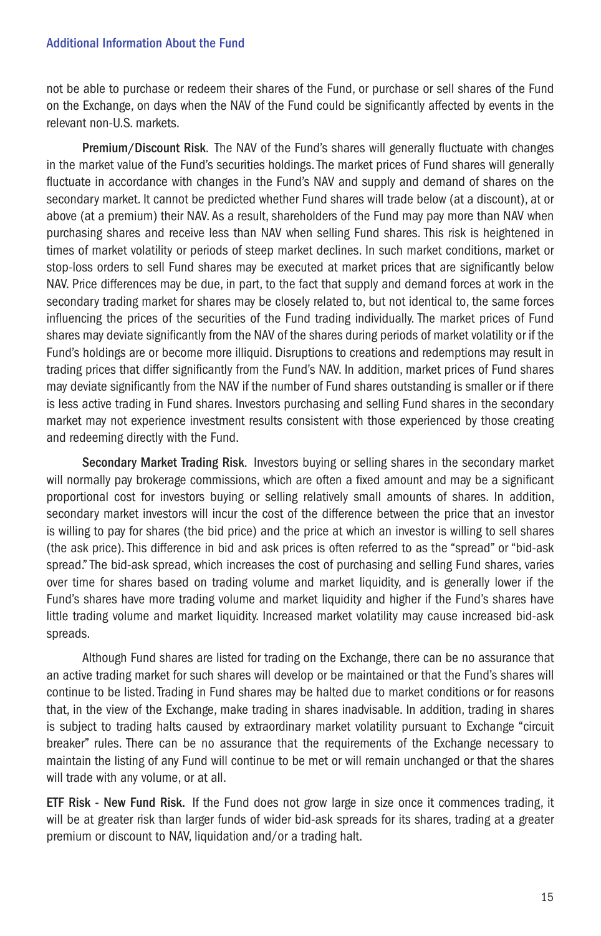not be able to purchase or redeem their shares of the Fund, or purchase or sell shares of the Fund on the Exchange, on days when the NAV of the Fund could be significantly affected by events in the relevant non-U.S. markets.

Premium/Discount Risk. The NAV of the Fund's shares will generally fluctuate with changes in the market value of the Fund's securities holdings. The market prices of Fund shares will generally fluctuate in accordance with changes in the Fund's NAV and supply and demand of shares on the secondary market. It cannot be predicted whether Fund shares will trade below (at a discount), at or above (at a premium) their NAV. As a result, shareholders of the Fund may pay more than NAV when purchasing shares and receive less than NAV when selling Fund shares. This risk is heightened in times of market volatility or periods of steep market declines. In such market conditions, market or stop-loss orders to sell Fund shares may be executed at market prices that are significantly below NAV. Price differences may be due, in part, to the fact that supply and demand forces at work in the secondary trading market for shares may be closely related to, but not identical to, the same forces influencing the prices of the securities of the Fund trading individually. The market prices of Fund shares may deviate significantly from the NAV of the shares during periods of market volatility or if the Fund's holdings are or become more illiquid. Disruptions to creations and redemptions may result in trading prices that differ significantly from the Fund's NAV. In addition, market prices of Fund shares may deviate significantly from the NAV if the number of Fund shares outstanding is smaller or if there is less active trading in Fund shares. Investors purchasing and selling Fund shares in the secondary market may not experience investment results consistent with those experienced by those creating and redeeming directly with the Fund.

Secondary Market Trading Risk. Investors buying or selling shares in the secondary market will normally pay brokerage commissions, which are often a fixed amount and may be a significant proportional cost for investors buying or selling relatively small amounts of shares. In addition, secondary market investors will incur the cost of the difference between the price that an investor is willing to pay for shares (the bid price) and the price at which an investor is willing to sell shares (the ask price). This difference in bid and ask prices is often referred to as the "spread" or "bid-ask spread." The bid-ask spread, which increases the cost of purchasing and selling Fund shares, varies over time for shares based on trading volume and market liquidity, and is generally lower if the Fund's shares have more trading volume and market liquidity and higher if the Fund's shares have little trading volume and market liquidity. Increased market volatility may cause increased bid-ask spreads.

Although Fund shares are listed for trading on the Exchange, there can be no assurance that an active trading market for such shares will develop or be maintained or that the Fund's shares will continue to be listed. Trading in Fund shares may be halted due to market conditions or for reasons that, in the view of the Exchange, make trading in shares inadvisable. In addition, trading in shares is subject to trading halts caused by extraordinary market volatility pursuant to Exchange "circuit breaker" rules. There can be no assurance that the requirements of the Exchange necessary to maintain the listing of any Fund will continue to be met or will remain unchanged or that the shares will trade with any volume, or at all.

ETF Risk - New Fund Risk. If the Fund does not grow large in size once it commences trading, it will be at greater risk than larger funds of wider bid-ask spreads for its shares, trading at a greater premium or discount to NAV, liquidation and/or a trading halt.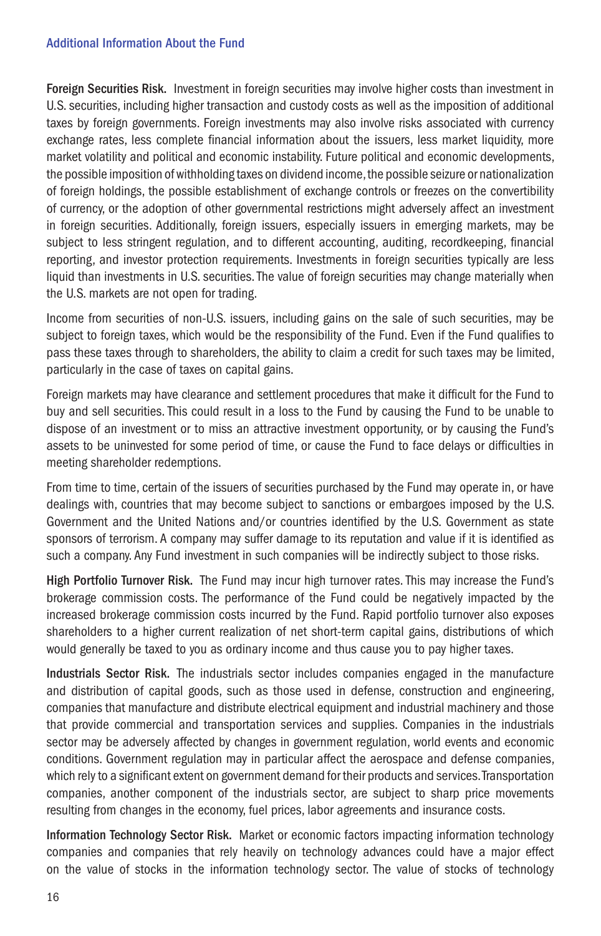Foreign Securities Risk. Investment in foreign securities may involve higher costs than investment in U.S. securities, including higher transaction and custody costs as well as the imposition of additional taxes by foreign governments. Foreign investments may also involve risks associated with currency exchange rates, less complete financial information about the issuers, less market liquidity, more market volatility and political and economic instability. Future political and economic developments, the possible imposition of withholding taxes on dividend income, the possible seizure or nationalization of foreign holdings, the possible establishment of exchange controls or freezes on the convertibility of currency, or the adoption of other governmental restrictions might adversely affect an investment in foreign securities. Additionally, foreign issuers, especially issuers in emerging markets, may be subject to less stringent regulation, and to different accounting, auditing, recordkeeping, financial reporting, and investor protection requirements. Investments in foreign securities typically are less liquid than investments in U.S. securities. The value of foreign securities may change materially when the U.S. markets are not open for trading.

Income from securities of non-U.S. issuers, including gains on the sale of such securities, may be subject to foreign taxes, which would be the responsibility of the Fund. Even if the Fund qualifies to pass these taxes through to shareholders, the ability to claim a credit for such taxes may be limited, particularly in the case of taxes on capital gains.

Foreign markets may have clearance and settlement procedures that make it difficult for the Fund to buy and sell securities. This could result in a loss to the Fund by causing the Fund to be unable to dispose of an investment or to miss an attractive investment opportunity, or by causing the Fund's assets to be uninvested for some period of time, or cause the Fund to face delays or difficulties in meeting shareholder redemptions.

From time to time, certain of the issuers of securities purchased by the Fund may operate in, or have dealings with, countries that may become subject to sanctions or embargoes imposed by the U.S. Government and the United Nations and/or countries identified by the U.S. Government as state sponsors of terrorism. A company may suffer damage to its reputation and value if it is identified as such a company. Any Fund investment in such companies will be indirectly subject to those risks.

High Portfolio Turnover Risk. The Fund may incur high turnover rates. This may increase the Fund's brokerage commission costs. The performance of the Fund could be negatively impacted by the increased brokerage commission costs incurred by the Fund. Rapid portfolio turnover also exposes shareholders to a higher current realization of net short-term capital gains, distributions of which would generally be taxed to you as ordinary income and thus cause you to pay higher taxes.

Industrials Sector Risk. The industrials sector includes companies engaged in the manufacture and distribution of capital goods, such as those used in defense, construction and engineering, companies that manufacture and distribute electrical equipment and industrial machinery and those that provide commercial and transportation services and supplies. Companies in the industrials sector may be adversely affected by changes in government regulation, world events and economic conditions. Government regulation may in particular affect the aerospace and defense companies, which rely to a significant extent on government demand for their products and services. Transportation companies, another component of the industrials sector, are subject to sharp price movements resulting from changes in the economy, fuel prices, labor agreements and insurance costs.

Information Technology Sector Risk. Market or economic factors impacting information technology companies and companies that rely heavily on technology advances could have a major effect on the value of stocks in the information technology sector. The value of stocks of technology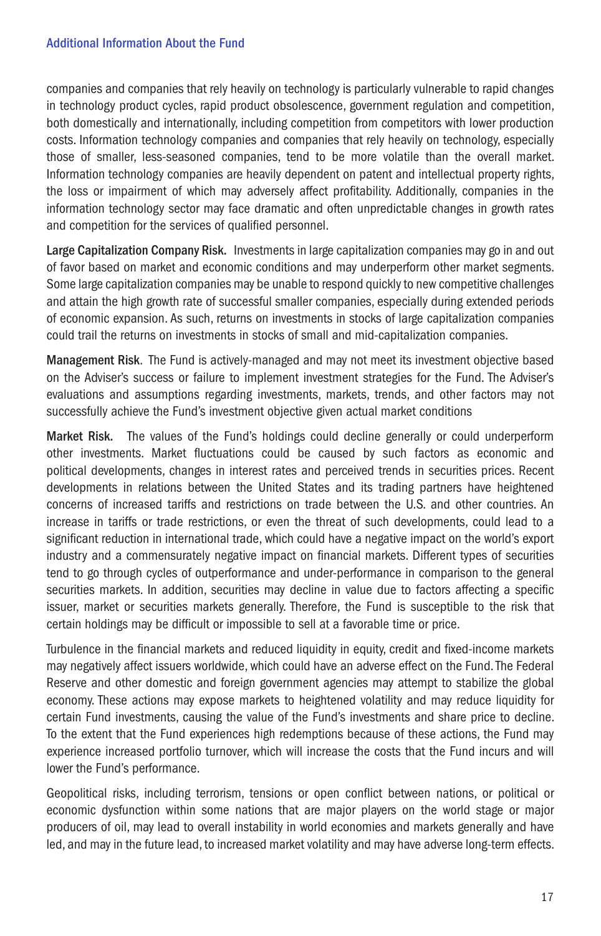companies and companies that rely heavily on technology is particularly vulnerable to rapid changes in technology product cycles, rapid product obsolescence, government regulation and competition, both domestically and internationally, including competition from competitors with lower production costs. Information technology companies and companies that rely heavily on technology, especially those of smaller, less-seasoned companies, tend to be more volatile than the overall market. Information technology companies are heavily dependent on patent and intellectual property rights, the loss or impairment of which may adversely affect profitability. Additionally, companies in the information technology sector may face dramatic and often unpredictable changes in growth rates and competition for the services of qualified personnel.

Large Capitalization Company Risk. Investments in large capitalization companies may go in and out of favor based on market and economic conditions and may underperform other market segments. Some large capitalization companies may be unable to respond quickly to new competitive challenges and attain the high growth rate of successful smaller companies, especially during extended periods of economic expansion. As such, returns on investments in stocks of large capitalization companies could trail the returns on investments in stocks of small and mid-capitalization companies.

Management Risk. The Fund is actively-managed and may not meet its investment objective based on the Adviser's success or failure to implement investment strategies for the Fund. The Adviser's evaluations and assumptions regarding investments, markets, trends, and other factors may not successfully achieve the Fund's investment objective given actual market conditions

Market Risk. The values of the Fund's holdings could decline generally or could underperform other investments. Market fluctuations could be caused by such factors as economic and political developments, changes in interest rates and perceived trends in securities prices. Recent developments in relations between the United States and its trading partners have heightened concerns of increased tariffs and restrictions on trade between the U.S. and other countries. An increase in tariffs or trade restrictions, or even the threat of such developments, could lead to a significant reduction in international trade, which could have a negative impact on the world's export industry and a commensurately negative impact on financial markets. Different types of securities tend to go through cycles of outperformance and under-performance in comparison to the general securities markets. In addition, securities may decline in value due to factors affecting a specific issuer, market or securities markets generally. Therefore, the Fund is susceptible to the risk that certain holdings may be difficult or impossible to sell at a favorable time or price.

Turbulence in the financial markets and reduced liquidity in equity, credit and fixed-income markets may negatively affect issuers worldwide, which could have an adverse effect on the Fund. The Federal Reserve and other domestic and foreign government agencies may attempt to stabilize the global economy. These actions may expose markets to heightened volatility and may reduce liquidity for certain Fund investments, causing the value of the Fund's investments and share price to decline. To the extent that the Fund experiences high redemptions because of these actions, the Fund may experience increased portfolio turnover, which will increase the costs that the Fund incurs and will lower the Fund's performance.

Geopolitical risks, including terrorism, tensions or open conflict between nations, or political or economic dysfunction within some nations that are major players on the world stage or major producers of oil, may lead to overall instability in world economies and markets generally and have led, and may in the future lead, to increased market volatility and may have adverse long-term effects.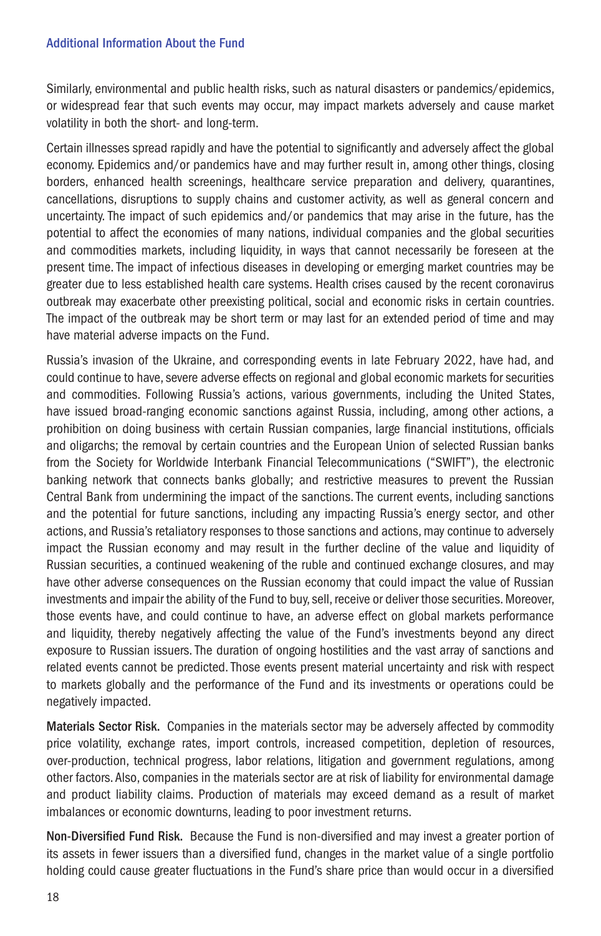Similarly, environmental and public health risks, such as natural disasters or pandemics/epidemics, or widespread fear that such events may occur, may impact markets adversely and cause market volatility in both the short- and long-term.

Certain illnesses spread rapidly and have the potential to significantly and adversely affect the global economy. Epidemics and/or pandemics have and may further result in, among other things, closing borders, enhanced health screenings, healthcare service preparation and delivery, quarantines, cancellations, disruptions to supply chains and customer activity, as well as general concern and uncertainty. The impact of such epidemics and/or pandemics that may arise in the future, has the potential to affect the economies of many nations, individual companies and the global securities and commodities markets, including liquidity, in ways that cannot necessarily be foreseen at the present time. The impact of infectious diseases in developing or emerging market countries may be greater due to less established health care systems. Health crises caused by the recent coronavirus outbreak may exacerbate other preexisting political, social and economic risks in certain countries. The impact of the outbreak may be short term or may last for an extended period of time and may have material adverse impacts on the Fund.

Russia's invasion of the Ukraine, and corresponding events in late February 2022, have had, and could continue to have, severe adverse effects on regional and global economic markets for securities and commodities. Following Russia's actions, various governments, including the United States, have issued broad-ranging economic sanctions against Russia, including, among other actions, a prohibition on doing business with certain Russian companies, large financial institutions, officials and oligarchs; the removal by certain countries and the European Union of selected Russian banks from the Society for Worldwide Interbank Financial Telecommunications ("SWIFT"), the electronic banking network that connects banks globally; and restrictive measures to prevent the Russian Central Bank from undermining the impact of the sanctions. The current events, including sanctions and the potential for future sanctions, including any impacting Russia's energy sector, and other actions, and Russia's retaliatory responses to those sanctions and actions, may continue to adversely impact the Russian economy and may result in the further decline of the value and liquidity of Russian securities, a continued weakening of the ruble and continued exchange closures, and may have other adverse consequences on the Russian economy that could impact the value of Russian investments and impair the ability of the Fund to buy, sell, receive or deliver those securities. Moreover, those events have, and could continue to have, an adverse effect on global markets performance and liquidity, thereby negatively affecting the value of the Fund's investments beyond any direct exposure to Russian issuers. The duration of ongoing hostilities and the vast array of sanctions and related events cannot be predicted. Those events present material uncertainty and risk with respect to markets globally and the performance of the Fund and its investments or operations could be negatively impacted.

Materials Sector Risk. Companies in the materials sector may be adversely affected by commodity price volatility, exchange rates, import controls, increased competition, depletion of resources, over-production, technical progress, labor relations, litigation and government regulations, among other factors. Also, companies in the materials sector are at risk of liability for environmental damage and product liability claims. Production of materials may exceed demand as a result of market imbalances or economic downturns, leading to poor investment returns.

Non-Diversified Fund Risk. Because the Fund is non-diversified and may invest a greater portion of its assets in fewer issuers than a diversified fund, changes in the market value of a single portfolio holding could cause greater fluctuations in the Fund's share price than would occur in a diversified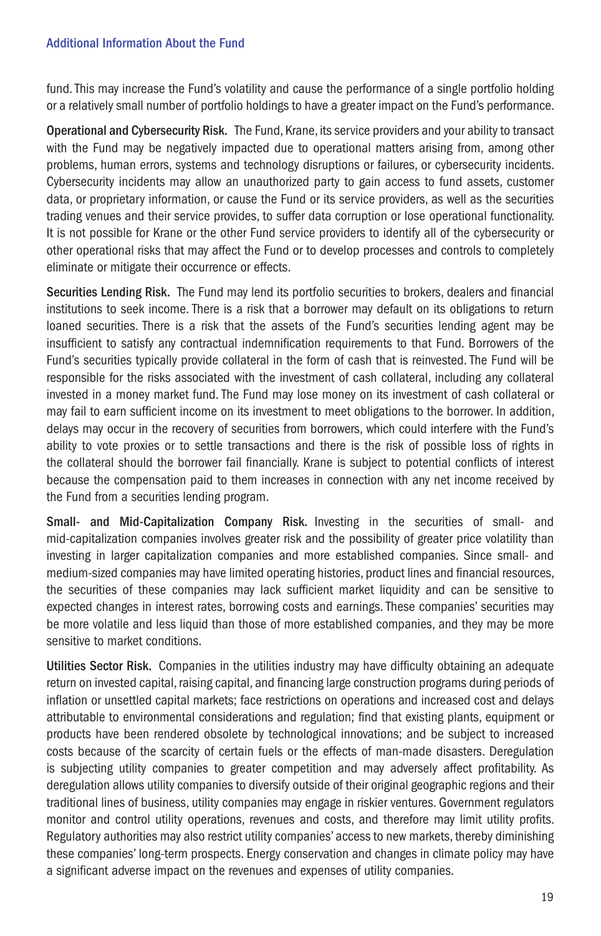fund. This may increase the Fund's volatility and cause the performance of a single portfolio holding or a relatively small number of portfolio holdings to have a greater impact on the Fund's performance.

Operational and Cybersecurity Risk. The Fund, Krane, its service providers and your ability to transact with the Fund may be negatively impacted due to operational matters arising from, among other problems, human errors, systems and technology disruptions or failures, or cybersecurity incidents. Cybersecurity incidents may allow an unauthorized party to gain access to fund assets, customer data, or proprietary information, or cause the Fund or its service providers, as well as the securities trading venues and their service provides, to suffer data corruption or lose operational functionality. It is not possible for Krane or the other Fund service providers to identify all of the cybersecurity or other operational risks that may affect the Fund or to develop processes and controls to completely eliminate or mitigate their occurrence or effects.

Securities Lending Risk. The Fund may lend its portfolio securities to brokers, dealers and financial institutions to seek income. There is a risk that a borrower may default on its obligations to return loaned securities. There is a risk that the assets of the Fund's securities lending agent may be insufficient to satisfy any contractual indemnification requirements to that Fund. Borrowers of the Fund's securities typically provide collateral in the form of cash that is reinvested. The Fund will be responsible for the risks associated with the investment of cash collateral, including any collateral invested in a money market fund. The Fund may lose money on its investment of cash collateral or may fail to earn sufficient income on its investment to meet obligations to the borrower. In addition, delays may occur in the recovery of securities from borrowers, which could interfere with the Fund's ability to vote proxies or to settle transactions and there is the risk of possible loss of rights in the collateral should the borrower fail financially. Krane is subject to potential conflicts of interest because the compensation paid to them increases in connection with any net income received by the Fund from a securities lending program.

Small- and Mid-Capitalization Company Risk. Investing in the securities of small- and mid-capitalization companies involves greater risk and the possibility of greater price volatility than investing in larger capitalization companies and more established companies. Since small- and medium-sized companies may have limited operating histories, product lines and financial resources, the securities of these companies may lack sufficient market liquidity and can be sensitive to expected changes in interest rates, borrowing costs and earnings. These companies' securities may be more volatile and less liquid than those of more established companies, and they may be more sensitive to market conditions.

Utilities Sector Risk. Companies in the utilities industry may have difficulty obtaining an adequate return on invested capital, raising capital, and financing large construction programs during periods of inflation or unsettled capital markets; face restrictions on operations and increased cost and delays attributable to environmental considerations and regulation; find that existing plants, equipment or products have been rendered obsolete by technological innovations; and be subject to increased costs because of the scarcity of certain fuels or the effects of man-made disasters. Deregulation is subjecting utility companies to greater competition and may adversely affect profitability. As deregulation allows utility companies to diversify outside of their original geographic regions and their traditional lines of business, utility companies may engage in riskier ventures. Government regulators monitor and control utility operations, revenues and costs, and therefore may limit utility profits. Regulatory authorities may also restrict utility companies' access to new markets, thereby diminishing these companies' long-term prospects. Energy conservation and changes in climate policy may have a significant adverse impact on the revenues and expenses of utility companies.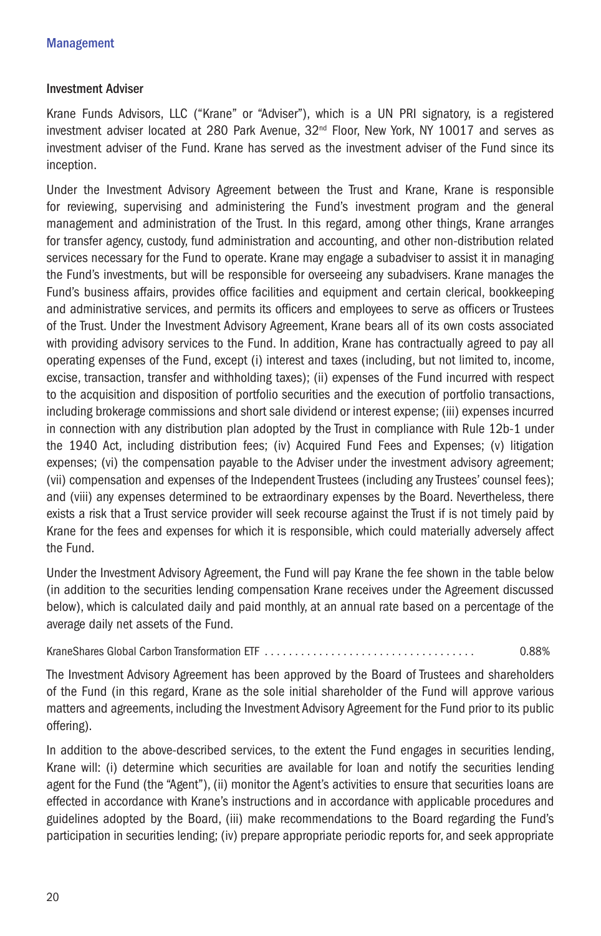#### Investment Adviser

Krane Funds Advisors, LLC ("Krane" or "Adviser"), which is a UN PRI signatory, is a registered investment adviser located at 280 Park Avenue,  $32<sup>nd</sup>$  Floor, New York, NY 10017 and serves as investment adviser of the Fund. Krane has served as the investment adviser of the Fund since its inception.

Under the Investment Advisory Agreement between the Trust and Krane, Krane is responsible for reviewing, supervising and administering the Fund's investment program and the general management and administration of the Trust. In this regard, among other things, Krane arranges for transfer agency, custody, fund administration and accounting, and other non-distribution related services necessary for the Fund to operate. Krane may engage a subadviser to assist it in managing the Fund's investments, but will be responsible for overseeing any subadvisers. Krane manages the Fund's business affairs, provides office facilities and equipment and certain clerical, bookkeeping and administrative services, and permits its officers and employees to serve as officers or Trustees of the Trust. Under the Investment Advisory Agreement, Krane bears all of its own costs associated with providing advisory services to the Fund. In addition, Krane has contractually agreed to pay all operating expenses of the Fund, except (i) interest and taxes (including, but not limited to, income, excise, transaction, transfer and withholding taxes); (ii) expenses of the Fund incurred with respect to the acquisition and disposition of portfolio securities and the execution of portfolio transactions, including brokerage commissions and short sale dividend or interest expense; (iii) expenses incurred in connection with any distribution plan adopted by the Trust in compliance with Rule 12b-1 under the 1940 Act, including distribution fees; (iv) Acquired Fund Fees and Expenses; (v) litigation expenses; (vi) the compensation payable to the Adviser under the investment advisory agreement; (vii) compensation and expenses of the Independent Trustees (including any Trustees' counsel fees); and (viii) any expenses determined to be extraordinary expenses by the Board. Nevertheless, there exists a risk that a Trust service provider will seek recourse against the Trust if is not timely paid by Krane for the fees and expenses for which it is responsible, which could materially adversely affect the Fund.

Under the Investment Advisory Agreement, the Fund will pay Krane the fee shown in the table below (in addition to the securities lending compensation Krane receives under the Agreement discussed below), which is calculated daily and paid monthly, at an annual rate based on a percentage of the average daily net assets of the Fund.

KraneShares Global Carbon Transformation ETF . . . . . . . . . . . . . . . . . . . . . . . . . . . . . . . . . . . 0.88%

The Investment Advisory Agreement has been approved by the Board of Trustees and shareholders of the Fund (in this regard, Krane as the sole initial shareholder of the Fund will approve various matters and agreements, including the Investment Advisory Agreement for the Fund prior to its public offering).

In addition to the above-described services, to the extent the Fund engages in securities lending, Krane will: (i) determine which securities are available for loan and notify the securities lending agent for the Fund (the "Agent"), (ii) monitor the Agent's activities to ensure that securities loans are effected in accordance with Krane's instructions and in accordance with applicable procedures and guidelines adopted by the Board, (iii) make recommendations to the Board regarding the Fund's participation in securities lending; (iv) prepare appropriate periodic reports for, and seek appropriate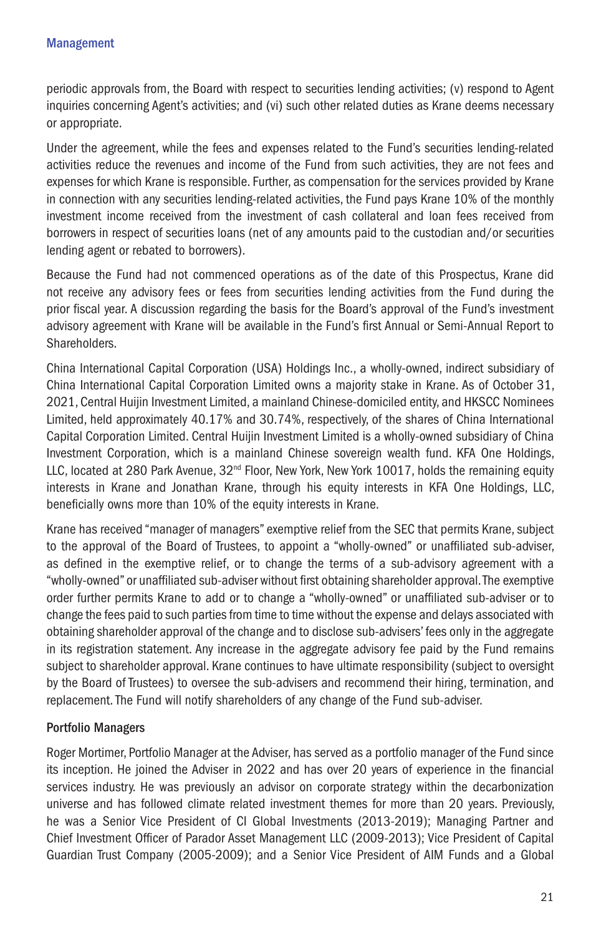periodic approvals from, the Board with respect to securities lending activities; (v) respond to Agent inquiries concerning Agent's activities; and (vi) such other related duties as Krane deems necessary or appropriate.

Under the agreement, while the fees and expenses related to the Fund's securities lending-related activities reduce the revenues and income of the Fund from such activities, they are not fees and expenses for which Krane is responsible. Further, as compensation for the services provided by Krane in connection with any securities lending-related activities, the Fund pays Krane 10% of the monthly investment income received from the investment of cash collateral and loan fees received from borrowers in respect of securities loans (net of any amounts paid to the custodian and/or securities lending agent or rebated to borrowers).

Because the Fund had not commenced operations as of the date of this Prospectus, Krane did not receive any advisory fees or fees from securities lending activities from the Fund during the prior fiscal year. A discussion regarding the basis for the Board's approval of the Fund's investment advisory agreement with Krane will be available in the Fund's first Annual or Semi-Annual Report to Shareholders.

China International Capital Corporation (USA) Holdings Inc., a wholly-owned, indirect subsidiary of China International Capital Corporation Limited owns a majority stake in Krane. As of October 31, 2021, Central Huijin Investment Limited, a mainland Chinese-domiciled entity, and HKSCC Nominees Limited, held approximately 40.17% and 30.74%, respectively, of the shares of China International Capital Corporation Limited. Central Huijin Investment Limited is a wholly-owned subsidiary of China Investment Corporation, which is a mainland Chinese sovereign wealth fund. KFA One Holdings, LLC, located at 280 Park Avenue, 32<sup>nd</sup> Floor, New York, New York 10017, holds the remaining equity interests in Krane and Jonathan Krane, through his equity interests in KFA One Holdings, LLC, beneficially owns more than 10% of the equity interests in Krane.

Krane has received "manager of managers" exemptive relief from the SEC that permits Krane, subject to the approval of the Board of Trustees, to appoint a "wholly-owned" or unaffiliated sub-adviser, as defined in the exemptive relief, or to change the terms of a sub-advisory agreement with a "wholly-owned" or unaffiliated sub-adviser without first obtaining shareholder approval. The exemptive order further permits Krane to add or to change a "wholly-owned" or unaffiliated sub-adviser or to change the fees paid to such parties from time to time without the expense and delays associated with obtaining shareholder approval of the change and to disclose sub-advisers' fees only in the aggregate in its registration statement. Any increase in the aggregate advisory fee paid by the Fund remains subject to shareholder approval. Krane continues to have ultimate responsibility (subject to oversight by the Board of Trustees) to oversee the sub-advisers and recommend their hiring, termination, and replacement. The Fund will notify shareholders of any change of the Fund sub-adviser.

# Portfolio Managers

Roger Mortimer, Portfolio Manager at the Adviser, has served as a portfolio manager of the Fund since its inception. He joined the Adviser in 2022 and has over 20 years of experience in the financial services industry. He was previously an advisor on corporate strategy within the decarbonization universe and has followed climate related investment themes for more than 20 years. Previously, he was a Senior Vice President of CI Global Investments (2013-2019); Managing Partner and Chief Investment Officer of Parador Asset Management LLC (2009-2013); Vice President of Capital Guardian Trust Company (2005-2009); and a Senior Vice President of AIM Funds and a Global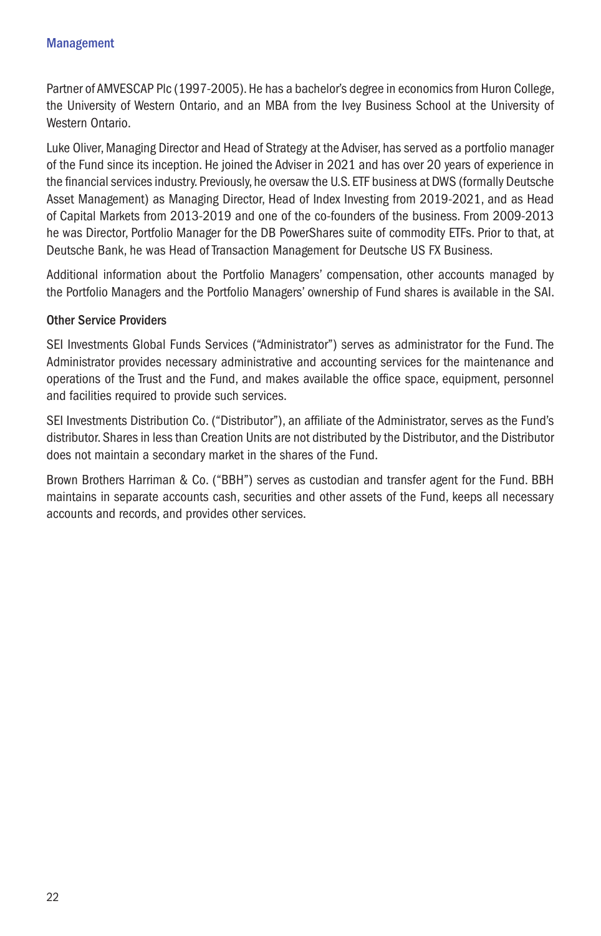Partner of AMVESCAP Plc (1997-2005). He has a bachelor's degree in economics from Huron College, the University of Western Ontario, and an MBA from the Ivey Business School at the University of Western Ontario.

Luke Oliver, Managing Director and Head of Strategy at the Adviser, has served as a portfolio manager of the Fund since its inception. He joined the Adviser in 2021 and has over 20 years of experience in the financial services industry. Previously, he oversaw the U.S. ETF business at DWS (formally Deutsche Asset Management) as Managing Director, Head of Index Investing from 2019-2021, and as Head of Capital Markets from 2013-2019 and one of the co-founders of the business. From 2009-2013 he was Director, Portfolio Manager for the DB PowerShares suite of commodity ETFs. Prior to that, at Deutsche Bank, he was Head of Transaction Management for Deutsche US FX Business.

Additional information about the Portfolio Managers' compensation, other accounts managed by the Portfolio Managers and the Portfolio Managers' ownership of Fund shares is available in the SAI.

#### Other Service Providers

SEI Investments Global Funds Services ("Administrator") serves as administrator for the Fund. The Administrator provides necessary administrative and accounting services for the maintenance and operations of the Trust and the Fund, and makes available the office space, equipment, personnel and facilities required to provide such services.

SEI Investments Distribution Co. ("Distributor"), an affiliate of the Administrator, serves as the Fund's distributor. Shares in less than Creation Units are not distributed by the Distributor, and the Distributor does not maintain a secondary market in the shares of the Fund.

Brown Brothers Harriman & Co. ("BBH") serves as custodian and transfer agent for the Fund. BBH maintains in separate accounts cash, securities and other assets of the Fund, keeps all necessary accounts and records, and provides other services.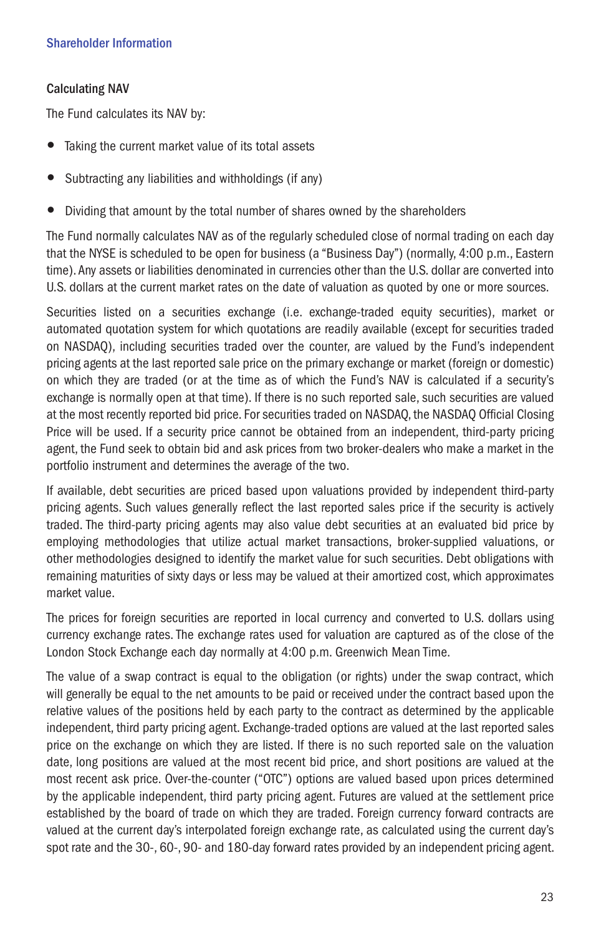# Calculating NAV

The Fund calculates its NAV by:

- Taking the current market value of its total assets
- Subtracting any liabilities and withholdings (if any)
- Dividing that amount by the total number of shares owned by the shareholders

The Fund normally calculates NAV as of the regularly scheduled close of normal trading on each day that the NYSE is scheduled to be open for business (a "Business Day") (normally, 4:00 p.m., Eastern time). Any assets or liabilities denominated in currencies other than the U.S. dollar are converted into U.S. dollars at the current market rates on the date of valuation as quoted by one or more sources.

Securities listed on a securities exchange (i.e. exchange-traded equity securities), market or automated quotation system for which quotations are readily available (except for securities traded on NASDAQ), including securities traded over the counter, are valued by the Fund's independent pricing agents at the last reported sale price on the primary exchange or market (foreign or domestic) on which they are traded (or at the time as of which the Fund's NAV is calculated if a security's exchange is normally open at that time). If there is no such reported sale, such securities are valued at the most recently reported bid price. For securities traded on NASDAQ, the NASDAQ Official Closing Price will be used. If a security price cannot be obtained from an independent, third-party pricing agent, the Fund seek to obtain bid and ask prices from two broker-dealers who make a market in the portfolio instrument and determines the average of the two.

If available, debt securities are priced based upon valuations provided by independent third-party pricing agents. Such values generally reflect the last reported sales price if the security is actively traded. The third-party pricing agents may also value debt securities at an evaluated bid price by employing methodologies that utilize actual market transactions, broker-supplied valuations, or other methodologies designed to identify the market value for such securities. Debt obligations with remaining maturities of sixty days or less may be valued at their amortized cost, which approximates market value.

The prices for foreign securities are reported in local currency and converted to U.S. dollars using currency exchange rates. The exchange rates used for valuation are captured as of the close of the London Stock Exchange each day normally at 4:00 p.m. Greenwich Mean Time.

The value of a swap contract is equal to the obligation (or rights) under the swap contract, which will generally be equal to the net amounts to be paid or received under the contract based upon the relative values of the positions held by each party to the contract as determined by the applicable independent, third party pricing agent. Exchange-traded options are valued at the last reported sales price on the exchange on which they are listed. If there is no such reported sale on the valuation date, long positions are valued at the most recent bid price, and short positions are valued at the most recent ask price. Over-the-counter ("OTC") options are valued based upon prices determined by the applicable independent, third party pricing agent. Futures are valued at the settlement price established by the board of trade on which they are traded. Foreign currency forward contracts are valued at the current day's interpolated foreign exchange rate, as calculated using the current day's spot rate and the 30-, 60-, 90- and 180-day forward rates provided by an independent pricing agent.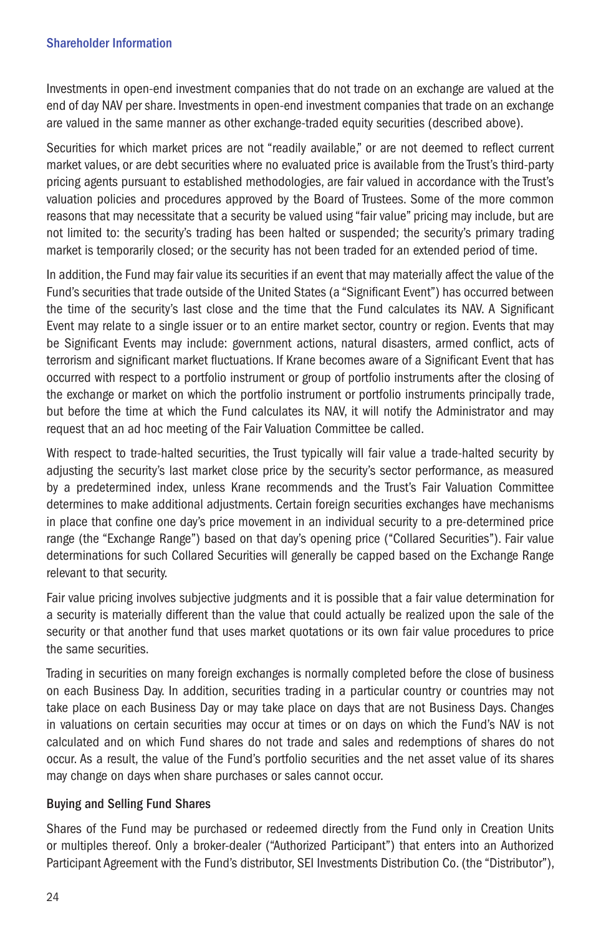Investments in open-end investment companies that do not trade on an exchange are valued at the end of day NAV per share. Investments in open-end investment companies that trade on an exchange are valued in the same manner as other exchange-traded equity securities (described above).

Securities for which market prices are not "readily available," or are not deemed to reflect current market values, or are debt securities where no evaluated price is available from the Trust's third-party pricing agents pursuant to established methodologies, are fair valued in accordance with the Trust's valuation policies and procedures approved by the Board of Trustees. Some of the more common reasons that may necessitate that a security be valued using "fair value" pricing may include, but are not limited to: the security's trading has been halted or suspended; the security's primary trading market is temporarily closed; or the security has not been traded for an extended period of time.

In addition, the Fund may fair value its securities if an event that may materially affect the value of the Fund's securities that trade outside of the United States (a "Significant Event") has occurred between the time of the security's last close and the time that the Fund calculates its NAV. A Significant Event may relate to a single issuer or to an entire market sector, country or region. Events that may be Significant Events may include: government actions, natural disasters, armed conflict, acts of terrorism and significant market fluctuations. If Krane becomes aware of a Significant Event that has occurred with respect to a portfolio instrument or group of portfolio instruments after the closing of the exchange or market on which the portfolio instrument or portfolio instruments principally trade, but before the time at which the Fund calculates its NAV, it will notify the Administrator and may request that an ad hoc meeting of the Fair Valuation Committee be called.

With respect to trade-halted securities, the Trust typically will fair value a trade-halted security by adjusting the security's last market close price by the security's sector performance, as measured by a predetermined index, unless Krane recommends and the Trust's Fair Valuation Committee determines to make additional adjustments. Certain foreign securities exchanges have mechanisms in place that confine one day's price movement in an individual security to a pre-determined price range (the "Exchange Range") based on that day's opening price ("Collared Securities"). Fair value determinations for such Collared Securities will generally be capped based on the Exchange Range relevant to that security.

Fair value pricing involves subjective judgments and it is possible that a fair value determination for a security is materially different than the value that could actually be realized upon the sale of the security or that another fund that uses market quotations or its own fair value procedures to price the same securities.

Trading in securities on many foreign exchanges is normally completed before the close of business on each Business Day. In addition, securities trading in a particular country or countries may not take place on each Business Day or may take place on days that are not Business Days. Changes in valuations on certain securities may occur at times or on days on which the Fund's NAV is not calculated and on which Fund shares do not trade and sales and redemptions of shares do not occur. As a result, the value of the Fund's portfolio securities and the net asset value of its shares may change on days when share purchases or sales cannot occur.

# Buying and Selling Fund Shares

Shares of the Fund may be purchased or redeemed directly from the Fund only in Creation Units or multiples thereof. Only a broker-dealer ("Authorized Participant") that enters into an Authorized Participant Agreement with the Fund's distributor, SEI Investments Distribution Co. (the "Distributor"),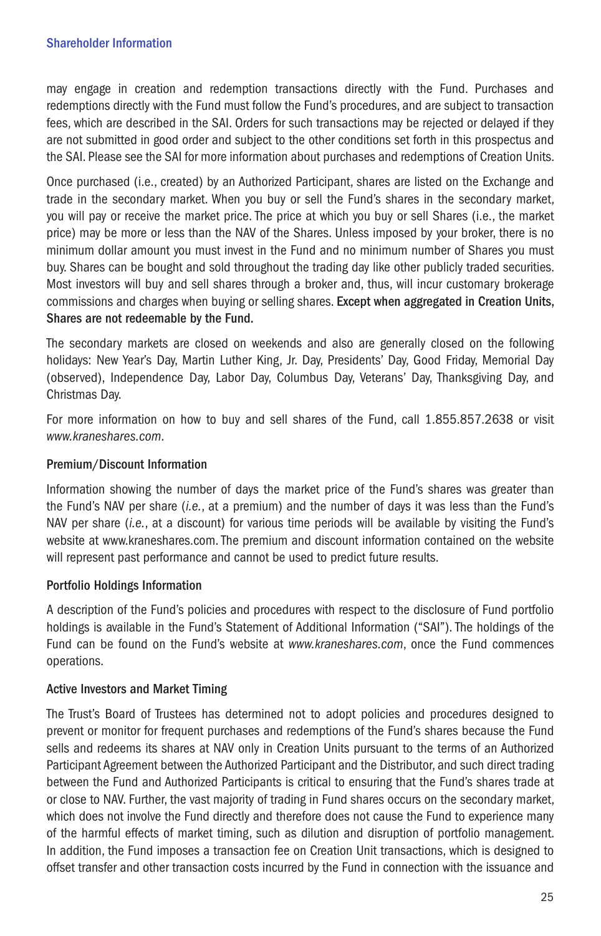may engage in creation and redemption transactions directly with the Fund. Purchases and redemptions directly with the Fund must follow the Fund's procedures, and are subject to transaction fees, which are described in the SAI. Orders for such transactions may be rejected or delayed if they are not submitted in good order and subject to the other conditions set forth in this prospectus and the SAI. Please see the SAI for more information about purchases and redemptions of Creation Units.

Once purchased (i.e., created) by an Authorized Participant, shares are listed on the Exchange and trade in the secondary market. When you buy or sell the Fund's shares in the secondary market, you will pay or receive the market price. The price at which you buy or sell Shares (i.e., the market price) may be more or less than the NAV of the Shares. Unless imposed by your broker, there is no minimum dollar amount you must invest in the Fund and no minimum number of Shares you must buy. Shares can be bought and sold throughout the trading day like other publicly traded securities. Most investors will buy and sell shares through a broker and, thus, will incur customary brokerage commissions and charges when buying or selling shares. Except when aggregated in Creation Units, Shares are not redeemable by the Fund.

The secondary markets are closed on weekends and also are generally closed on the following holidays: New Year's Day, Martin Luther King, Jr. Day, Presidents' Day, Good Friday, Memorial Day (observed), Independence Day, Labor Day, Columbus Day, Veterans' Day, Thanksgiving Day, and Christmas Day.

For more information on how to buy and sell shares of the Fund, call 1.855.857.2638 or visit *www.kraneshares.com*.

# Premium/Discount Information

Information showing the number of days the market price of the Fund's shares was greater than the Fund's NAV per share (*i.e.*, at a premium) and the number of days it was less than the Fund's NAV per share (*i.e.*, at a discount) for various time periods will be available by visiting the Fund's website at www.kraneshares.com. The premium and discount information contained on the website will represent past performance and cannot be used to predict future results.

# Portfolio Holdings Information

A description of the Fund's policies and procedures with respect to the disclosure of Fund portfolio holdings is available in the Fund's Statement of Additional Information ("SAI"). The holdings of the Fund can be found on the Fund's website at *www.kraneshares.com*, once the Fund commences operations.

# Active Investors and Market Timing

The Trust's Board of Trustees has determined not to adopt policies and procedures designed to prevent or monitor for frequent purchases and redemptions of the Fund's shares because the Fund sells and redeems its shares at NAV only in Creation Units pursuant to the terms of an Authorized Participant Agreement between the Authorized Participant and the Distributor, and such direct trading between the Fund and Authorized Participants is critical to ensuring that the Fund's shares trade at or close to NAV. Further, the vast majority of trading in Fund shares occurs on the secondary market, which does not involve the Fund directly and therefore does not cause the Fund to experience many of the harmful effects of market timing, such as dilution and disruption of portfolio management. In addition, the Fund imposes a transaction fee on Creation Unit transactions, which is designed to offset transfer and other transaction costs incurred by the Fund in connection with the issuance and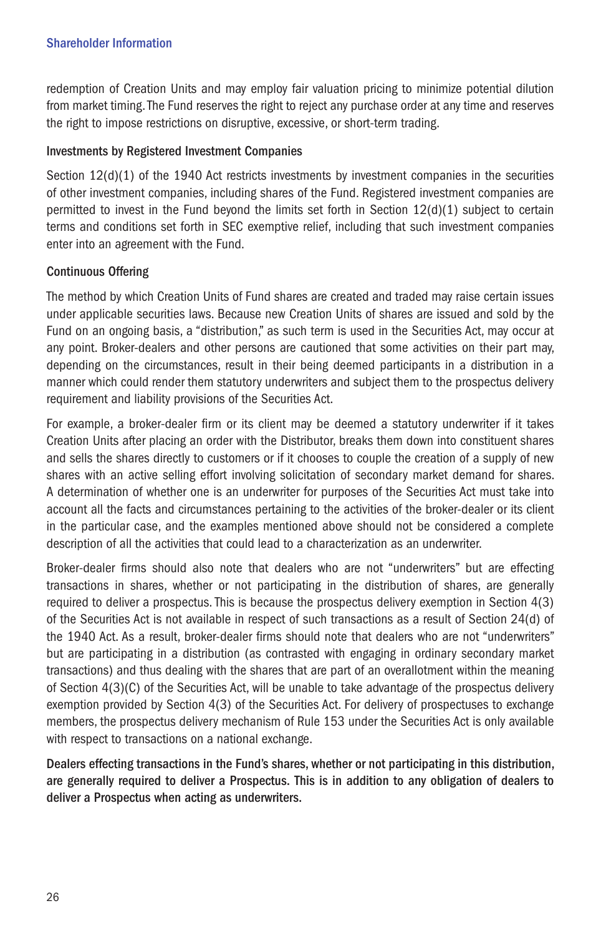redemption of Creation Units and may employ fair valuation pricing to minimize potential dilution from market timing. The Fund reserves the right to reject any purchase order at any time and reserves the right to impose restrictions on disruptive, excessive, or short-term trading.

# Investments by Registered Investment Companies

Section  $12(d)(1)$  of the 1940 Act restricts investments by investment companies in the securities of other investment companies, including shares of the Fund. Registered investment companies are permitted to invest in the Fund beyond the limits set forth in Section 12(d)(1) subject to certain terms and conditions set forth in SEC exemptive relief, including that such investment companies enter into an agreement with the Fund.

# Continuous Offering

The method by which Creation Units of Fund shares are created and traded may raise certain issues under applicable securities laws. Because new Creation Units of shares are issued and sold by the Fund on an ongoing basis, a "distribution," as such term is used in the Securities Act, may occur at any point. Broker-dealers and other persons are cautioned that some activities on their part may, depending on the circumstances, result in their being deemed participants in a distribution in a manner which could render them statutory underwriters and subject them to the prospectus delivery requirement and liability provisions of the Securities Act.

For example, a broker-dealer firm or its client may be deemed a statutory underwriter if it takes Creation Units after placing an order with the Distributor, breaks them down into constituent shares and sells the shares directly to customers or if it chooses to couple the creation of a supply of new shares with an active selling effort involving solicitation of secondary market demand for shares. A determination of whether one is an underwriter for purposes of the Securities Act must take into account all the facts and circumstances pertaining to the activities of the broker-dealer or its client in the particular case, and the examples mentioned above should not be considered a complete description of all the activities that could lead to a characterization as an underwriter.

Broker-dealer firms should also note that dealers who are not "underwriters" but are effecting transactions in shares, whether or not participating in the distribution of shares, are generally required to deliver a prospectus. This is because the prospectus delivery exemption in Section 4(3) of the Securities Act is not available in respect of such transactions as a result of Section 24(d) of the 1940 Act. As a result, broker-dealer firms should note that dealers who are not "underwriters" but are participating in a distribution (as contrasted with engaging in ordinary secondary market transactions) and thus dealing with the shares that are part of an overallotment within the meaning of Section 4(3)(C) of the Securities Act, will be unable to take advantage of the prospectus delivery exemption provided by Section 4(3) of the Securities Act. For delivery of prospectuses to exchange members, the prospectus delivery mechanism of Rule 153 under the Securities Act is only available with respect to transactions on a national exchange.

Dealers effecting transactions in the Fund's shares, whether or not participating in this distribution, are generally required to deliver a Prospectus. This is in addition to any obligation of dealers to deliver a Prospectus when acting as underwriters.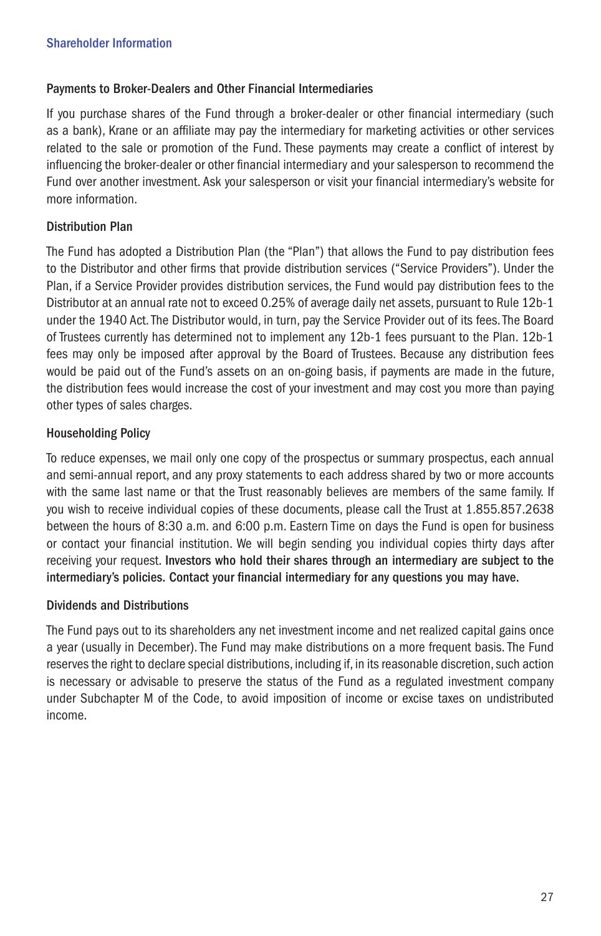# Payments to Broker-Dealers and Other Financial Intermediaries

If you purchase shares of the Fund through a broker-dealer or other financial intermediary (such as a bank), Krane or an affiliate may pay the intermediary for marketing activities or other services related to the sale or promotion of the Fund. These payments may create a conflict of interest by influencing the broker-dealer or other financial intermediary and your salesperson to recommend the Fund over another investment. Ask your salesperson or visit your financial intermediary's website for more information.

# Distribution Plan

The Fund has adopted a Distribution Plan (the "Plan") that allows the Fund to pay distribution fees to the Distributor and other firms that provide distribution services ("Service Providers"). Under the Plan, if a Service Provider provides distribution services, the Fund would pay distribution fees to the Distributor at an annual rate not to exceed 0.25% of average daily net assets, pursuant to Rule 12b-1 under the 1940 Act. The Distributor would, in turn, pay the Service Provider out of its fees. The Board of Trustees currently has determined not to implement any 12b-1 fees pursuant to the Plan. 12b-1 fees may only be imposed after approval by the Board of Trustees. Because any distribution fees would be paid out of the Fund's assets on an on-going basis, if payments are made in the future, the distribution fees would increase the cost of your investment and may cost you more than paying other types of sales charges.

# Householding Policy

To reduce expenses, we mail only one copy of the prospectus or summary prospectus, each annual and semi-annual report, and any proxy statements to each address shared by two or more accounts with the same last name or that the Trust reasonably believes are members of the same family. If you wish to receive individual copies of these documents, please call the Trust at 1.855.857.2638 between the hours of 8:30 a.m. and 6:00 p.m. Eastern Time on days the Fund is open for business or contact your financial institution. We will begin sending you individual copies thirty days after receiving your request. Investors who hold their shares through an intermediary are subject to the intermediary's policies. Contact your financial intermediary for any questions you may have.

# Dividends and Distributions

The Fund pays out to its shareholders any net investment income and net realized capital gains once a year (usually in December). The Fund may make distributions on a more frequent basis. The Fund reserves the right to declare special distributions, including if, in its reasonable discretion, such action is necessary or advisable to preserve the status of the Fund as a regulated investment company under Subchapter M of the Code, to avoid imposition of income or excise taxes on undistributed income.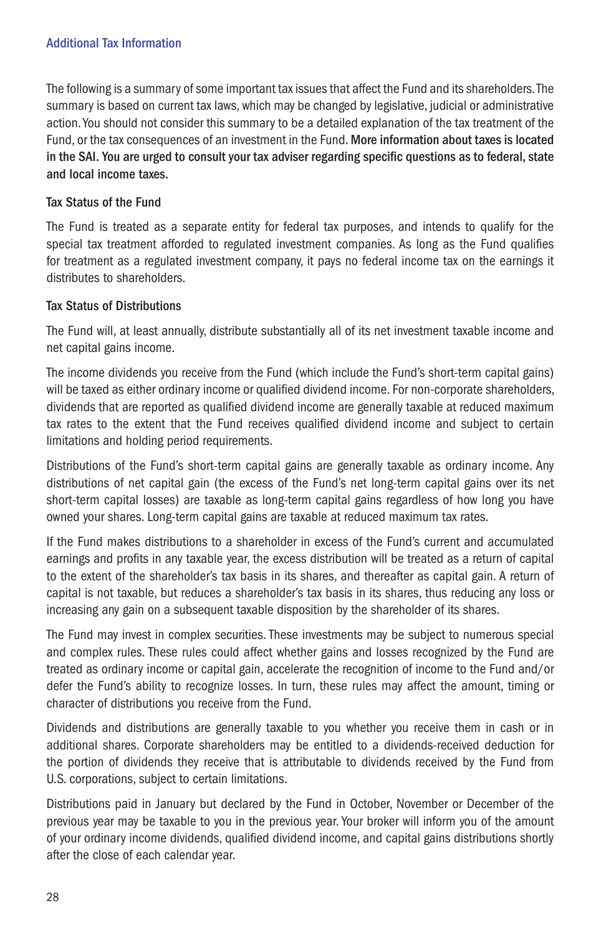# Additional Tax Information

The following is a summary of some important tax issues that affect the Fund and its shareholders. The summary is based on current tax laws, which may be changed by legislative, judicial or administrative action. You should not consider this summary to be a detailed explanation of the tax treatment of the Fund, or the tax consequences of an investment in the Fund. More information about taxes is located in the SAI. You are urged to consult your tax adviser regarding specific questions as to federal, state and local income taxes.

# Tax Status of the Fund

The Fund is treated as a separate entity for federal tax purposes, and intends to qualify for the special tax treatment afforded to regulated investment companies. As long as the Fund qualifies for treatment as a regulated investment company, it pays no federal income tax on the earnings it distributes to shareholders.

# Tax Status of Distributions

The Fund will, at least annually, distribute substantially all of its net investment taxable income and net capital gains income.

The income dividends you receive from the Fund (which include the Fund's short-term capital gains) will be taxed as either ordinary income or qualified dividend income. For non-corporate shareholders, dividends that are reported as qualified dividend income are generally taxable at reduced maximum tax rates to the extent that the Fund receives qualified dividend income and subject to certain limitations and holding period requirements.

Distributions of the Fund's short-term capital gains are generally taxable as ordinary income. Any distributions of net capital gain (the excess of the Fund's net long-term capital gains over its net short-term capital losses) are taxable as long-term capital gains regardless of how long you have owned your shares. Long-term capital gains are taxable at reduced maximum tax rates.

If the Fund makes distributions to a shareholder in excess of the Fund's current and accumulated earnings and profits in any taxable year, the excess distribution will be treated as a return of capital to the extent of the shareholder's tax basis in its shares, and thereafter as capital gain. A return of capital is not taxable, but reduces a shareholder's tax basis in its shares, thus reducing any loss or increasing any gain on a subsequent taxable disposition by the shareholder of its shares.

The Fund may invest in complex securities. These investments may be subject to numerous special and complex rules. These rules could affect whether gains and losses recognized by the Fund are treated as ordinary income or capital gain, accelerate the recognition of income to the Fund and/or defer the Fund's ability to recognize losses. In turn, these rules may affect the amount, timing or character of distributions you receive from the Fund.

Dividends and distributions are generally taxable to you whether you receive them in cash or in additional shares. Corporate shareholders may be entitled to a dividends-received deduction for the portion of dividends they receive that is attributable to dividends received by the Fund from U.S. corporations, subject to certain limitations.

Distributions paid in January but declared by the Fund in October, November or December of the previous year may be taxable to you in the previous year. Your broker will inform you of the amount of your ordinary income dividends, qualified dividend income, and capital gains distributions shortly after the close of each calendar year.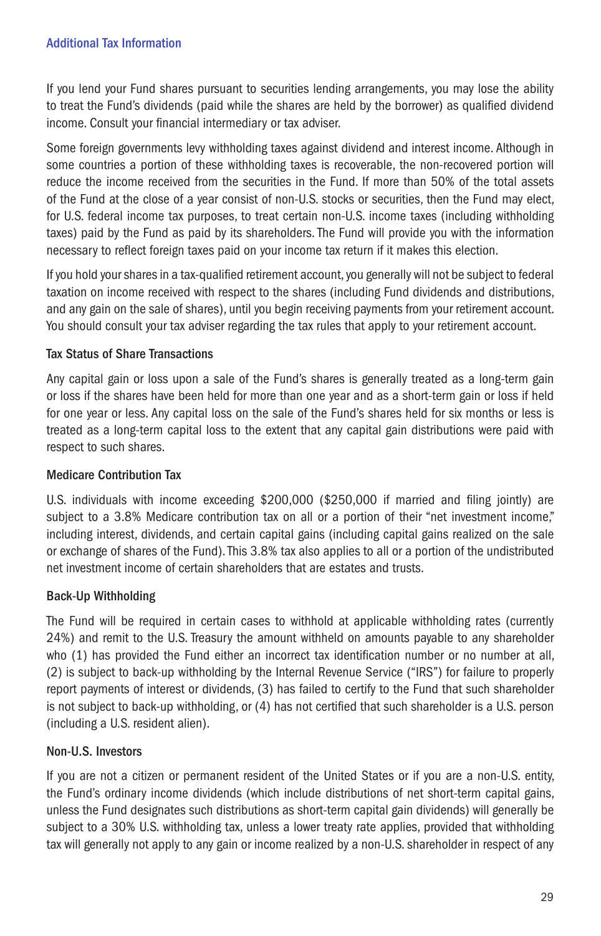If you lend your Fund shares pursuant to securities lending arrangements, you may lose the ability to treat the Fund's dividends (paid while the shares are held by the borrower) as qualified dividend income. Consult your financial intermediary or tax adviser.

Some foreign governments levy withholding taxes against dividend and interest income. Although in some countries a portion of these withholding taxes is recoverable, the non-recovered portion will reduce the income received from the securities in the Fund. If more than 50% of the total assets of the Fund at the close of a year consist of non-U.S. stocks or securities, then the Fund may elect, for U.S. federal income tax purposes, to treat certain non-U.S. income taxes (including withholding taxes) paid by the Fund as paid by its shareholders. The Fund will provide you with the information necessary to reflect foreign taxes paid on your income tax return if it makes this election.

If you hold your shares in a tax-qualified retirement account, you generally will not be subject to federal taxation on income received with respect to the shares (including Fund dividends and distributions, and any gain on the sale of shares), until you begin receiving payments from your retirement account. You should consult your tax adviser regarding the tax rules that apply to your retirement account.

# Tax Status of Share Transactions

Any capital gain or loss upon a sale of the Fund's shares is generally treated as a long-term gain or loss if the shares have been held for more than one year and as a short-term gain or loss if held for one year or less. Any capital loss on the sale of the Fund's shares held for six months or less is treated as a long-term capital loss to the extent that any capital gain distributions were paid with respect to such shares.

# Medicare Contribution Tax

U.S. individuals with income exceeding \$200,000 (\$250,000 if married and filing jointly) are subject to a 3.8% Medicare contribution tax on all or a portion of their "net investment income," including interest, dividends, and certain capital gains (including capital gains realized on the sale or exchange of shares of the Fund). This 3.8% tax also applies to all or a portion of the undistributed net investment income of certain shareholders that are estates and trusts.

# Back-Up Withholding

The Fund will be required in certain cases to withhold at applicable withholding rates (currently 24%) and remit to the U.S. Treasury the amount withheld on amounts payable to any shareholder who (1) has provided the Fund either an incorrect tax identification number or no number at all, (2) is subject to back-up withholding by the Internal Revenue Service ("IRS") for failure to properly report payments of interest or dividends, (3) has failed to certify to the Fund that such shareholder is not subject to back-up withholding, or (4) has not certified that such shareholder is a U.S. person (including a U.S. resident alien).

# Non-U.S. Investors

If you are not a citizen or permanent resident of the United States or if you are a non-U.S. entity, the Fund's ordinary income dividends (which include distributions of net short-term capital gains, unless the Fund designates such distributions as short-term capital gain dividends) will generally be subject to a 30% U.S. withholding tax, unless a lower treaty rate applies, provided that withholding tax will generally not apply to any gain or income realized by a non-U.S. shareholder in respect of any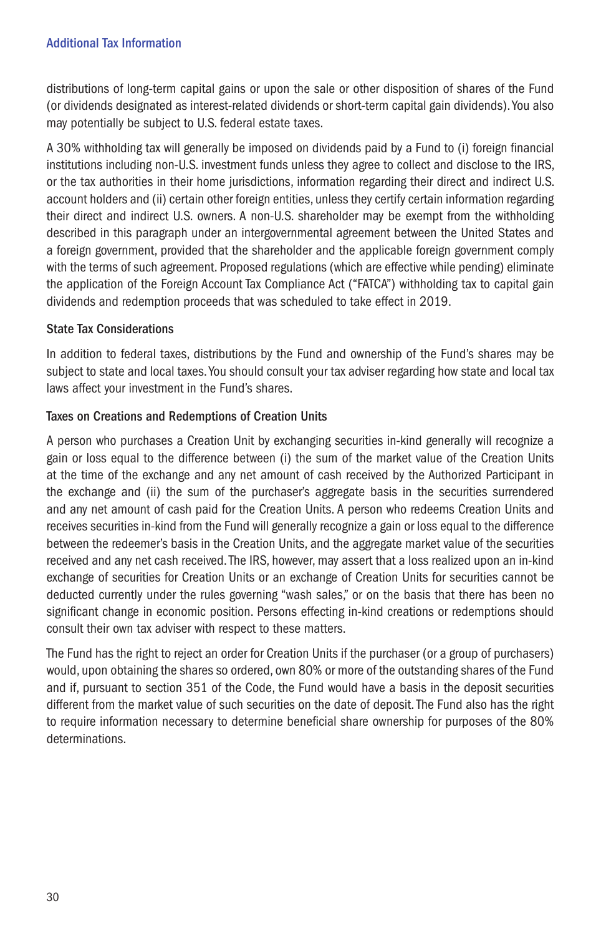distributions of long-term capital gains or upon the sale or other disposition of shares of the Fund (or dividends designated as interest-related dividends or short-term capital gain dividends). You also may potentially be subject to U.S. federal estate taxes.

A 30% withholding tax will generally be imposed on dividends paid by a Fund to (i) foreign financial institutions including non-U.S. investment funds unless they agree to collect and disclose to the IRS, or the tax authorities in their home jurisdictions, information regarding their direct and indirect U.S. account holders and (ii) certain other foreign entities, unless they certify certain information regarding their direct and indirect U.S. owners. A non-U.S. shareholder may be exempt from the withholding described in this paragraph under an intergovernmental agreement between the United States and a foreign government, provided that the shareholder and the applicable foreign government comply with the terms of such agreement. Proposed regulations (which are effective while pending) eliminate the application of the Foreign Account Tax Compliance Act ("FATCA") withholding tax to capital gain dividends and redemption proceeds that was scheduled to take effect in 2019.

# State Tax Considerations

In addition to federal taxes, distributions by the Fund and ownership of the Fund's shares may be subject to state and local taxes. You should consult your tax adviser regarding how state and local tax laws affect your investment in the Fund's shares.

# Taxes on Creations and Redemptions of Creation Units

A person who purchases a Creation Unit by exchanging securities in-kind generally will recognize a gain or loss equal to the difference between (i) the sum of the market value of the Creation Units at the time of the exchange and any net amount of cash received by the Authorized Participant in the exchange and (ii) the sum of the purchaser's aggregate basis in the securities surrendered and any net amount of cash paid for the Creation Units. A person who redeems Creation Units and receives securities in-kind from the Fund will generally recognize a gain or loss equal to the difference between the redeemer's basis in the Creation Units, and the aggregate market value of the securities received and any net cash received. The IRS, however, may assert that a loss realized upon an in-kind exchange of securities for Creation Units or an exchange of Creation Units for securities cannot be deducted currently under the rules governing "wash sales," or on the basis that there has been no significant change in economic position. Persons effecting in-kind creations or redemptions should consult their own tax adviser with respect to these matters.

The Fund has the right to reject an order for Creation Units if the purchaser (or a group of purchasers) would, upon obtaining the shares so ordered, own 80% or more of the outstanding shares of the Fund and if, pursuant to section 351 of the Code, the Fund would have a basis in the deposit securities different from the market value of such securities on the date of deposit. The Fund also has the right to require information necessary to determine beneficial share ownership for purposes of the 80% determinations.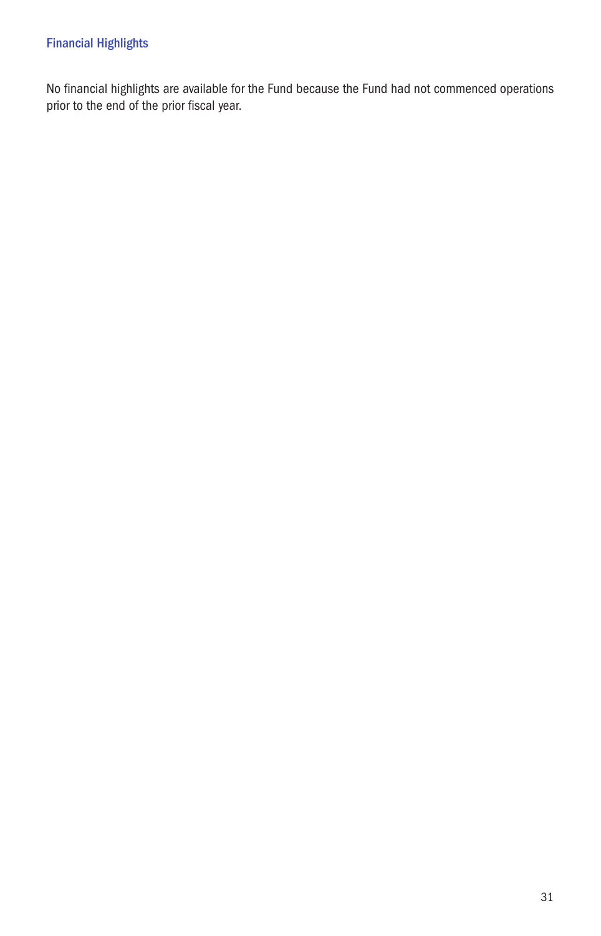No financial highlights are available for the Fund because the Fund had not commenced operations prior to the end of the prior fiscal year.